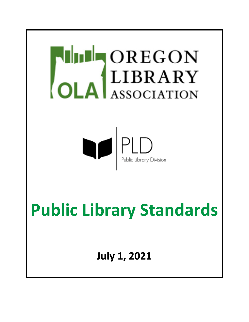# i<br>I



# **Public Library Standards**

**July 1, 2021**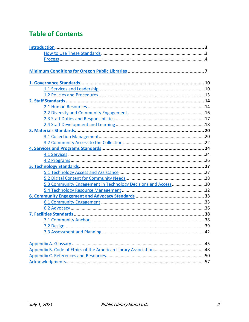# **Table of Contents**

| 5.3 Community Engagement in Technology Decisions and Access 30 |  |
|----------------------------------------------------------------|--|
|                                                                |  |
|                                                                |  |
|                                                                |  |
|                                                                |  |
|                                                                |  |
|                                                                |  |
|                                                                |  |
|                                                                |  |
|                                                                |  |
|                                                                |  |
|                                                                |  |
|                                                                |  |
|                                                                |  |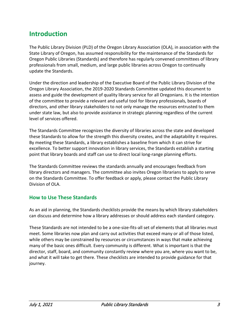# <span id="page-2-0"></span>**Introduction**

The Public Library Division (PLD) of the Oregon Library Association (OLA), in association with the State Library of Oregon, has assumed responsibility for the maintenance of the Standards for Oregon Public Libraries (Standards) and therefore has regularly convened committees of library professionals from small, medium, and large public libraries across Oregon to continually update the Standards.

Under the direction and leadership of the Executive Board of the Public Library Division of the Oregon Library Association, the 2019-2020 Standards Committee updated this document to assess and guide the development of quality library service for all Oregonians. It is the intention of the committee to provide a relevant and useful tool for library professionals, boards of directors, and other library stakeholders to not only manage the resources entrusted to them under state law, but also to provide assistance in strategic planning regardless of the current level of services offered.

The Standards Committee recognizes the diversity of libraries across the state and developed these Standards to allow for the strength this diversity creates, and the adaptability it requires. By meeting these Standards, a library establishes a baseline from which it can strive for excellence. To better support innovation in library services, the Standards establish a starting point that library boards and staff can use to direct local long-range planning efforts.

The Standards Committee reviews the standards annually and encourages feedback from library directors and managers. The committee also invites Oregon librarians to apply to serve on the Standards Committee. To offer feedback or apply, please contact the Public Library Division of OLA.

# <span id="page-2-1"></span>**How to Use These Standards**

As an aid in planning, the Standards checklists provide the means by which library stakeholders can discuss and determine how a library addresses or should address each standard category.

<span id="page-2-2"></span>These Standards are not intended to be a one-size-fits-all set of elements that all libraries must meet. Some libraries now plan and carry out activities that exceed many or all of those listed, while others may be constrained by resources or circumstances in ways that make achieving many of the basic ones difficult. Every community is different. What is important is that the director, staff, board, and community constantly review where you are, where you want to be, and what it will take to get there. These checklists are intended to provide guidance for that journey.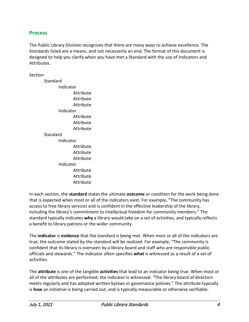## **Process**

The Public Library Division recognizes that there are many ways to achieve excellence. The Standards listed are a means, and not necessarily an end. The format of this document is designed to help you clarify when you have met a Standard with the use of Indicators and Attributes.

Section

| Standard  |           |
|-----------|-----------|
| Indicator |           |
|           | Attribute |
|           | Attribute |
|           | Attribute |
| Indicator |           |
|           | Attribute |
|           | Attribute |
|           | Attribute |
| Standard  |           |
| Indicator |           |
|           | Attribute |
|           | Attribute |
|           | Attribute |
| Indicator |           |
|           | Attribute |
|           | Attribute |
|           | Attribute |

In each section, the **standard** states the ultimate **outcome** or condition for the work being done that is expected when most or all of the indicators exist. For example, "The community has access to free library services and is confident in the effective leadership of the library, including the library's commitment to intellectual freedom for community members." The standard typically indicates **why** a library would take on a set of activities, and typically reflects a benefit to library patrons or the wider community.

The **indicator** is **evidence** that the standard is being met. When most or all of the indicators are true, the outcome stated by the standard will be realized. For example, "The community is confident that its library is overseen by a library board and staff who are responsible public officials and stewards." The indicator often specifies **what** is witnessed as a result of a set of activities.

The **attribute** is one of the tangible **activities** that lead to an indicator being true. When most or all of the attributes are performed, the indicator is witnessed. "The library board of directors meets regularly and has adopted written bylaws or governance policies." The attribute typically is **how** an initiative is being carried out, and is typically measurable or otherwise verifiable.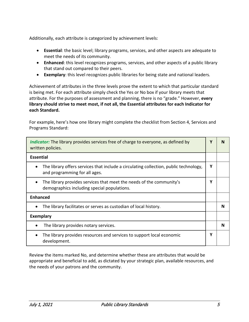Additionally, each attribute is categorized by achievement levels:

- **Essential**: the basic level; library programs, services, and other aspects are adequate to meet the needs of its community.
- **Enhanced**: this level recognizes programs, services, and other aspects of a public library that stand out compared to their peers.
- **Exemplary**: this level recognizes public libraries for being state and national leaders*.*

Achievement of attributes in the three levels prove the extent to which that particular standard is being met. For each attribute simply check the Yes or No box if your library meets that attribute. For the purposes of assessment and planning, there is no "grade." However, **every library should strive to meet most, if not all, the Essential attributes for each Indicator for each Standard.**

For example, here's how one library might complete the checklist from Section 4, Services and Programs Standard:

| <i>Indicator:</i> The library provides services free of charge to everyone, as defined by<br>written policies.                      | γ | N |
|-------------------------------------------------------------------------------------------------------------------------------------|---|---|
| <b>Essential</b>                                                                                                                    |   |   |
| The library offers services that include a circulating collection, public technology,<br>$\bullet$<br>and programming for all ages. | Υ |   |
| The library provides services that meet the needs of the community's<br>$\bullet$<br>demographics including special populations.    | Υ |   |
| <b>Enhanced</b>                                                                                                                     |   |   |
| The library facilitates or serves as custodian of local history.<br>$\bullet$                                                       |   | N |
| <b>Exemplary</b>                                                                                                                    |   |   |
| The library provides notary services.                                                                                               |   | N |
| The library provides resources and services to support local economic<br>$\bullet$<br>development.                                  | Υ |   |

Review the items marked No, and determine whether these are attributes that would be appropriate and beneficial to add, as dictated by your strategic plan, available resources, and the needs of your patrons and the community.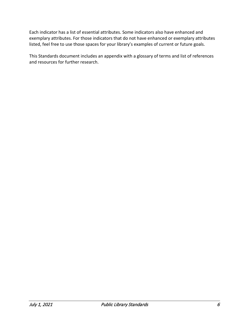Each indicator has a list of essential attributes. Some indicators also have enhanced and exemplary attributes. For those indicators that do not have enhanced or exemplary attributes listed, feel free to use those spaces for your library's examples of current or future goals.

This Standards document includes an appendix with a glossary of terms and list of references and resources for further research.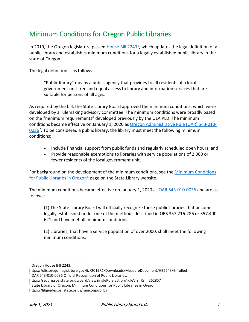# <span id="page-6-0"></span>Minimum Conditions for Oregon Public Libraries

In 20[1](#page-6-1)9, the Oregon legislature passed House Bill  $2243<sup>1</sup>$ , which updates the legal definition of a public library and establishes minimum conditions for a legally established public library in the state of Oregon.

The legal definition is as follows:

"Public library" means a public agency that provides to all residents of a local government unit free and equal access to library and information services that are suitable for persons of all ages.

As required by the bill, the State Library Board approved the minimum conditions, which were developed by a rulemaking advisory committee. The minimum conditions were broadly based on the "minimum requirements" developed previously by the OLA PLD. The minimum conditions became effective on January 1, 2020 as [Oregon Administrative Rule \(OAR\) 543-010-](https://secure.sos.state.or.us/oard/viewSingleRule.action?ruleVrsnRsn=262857)  $0036<sup>2</sup>$  $0036<sup>2</sup>$ . To be considered a public library, the library must meet the following minimum conditions:

- Include financial support from public funds and regularly scheduled open hours; and
- Provide reasonable exemptions to libraries with service populations of 2,000 or fewer residents of the local government unit.

For background on the development of the minimum conditions, see the Minimum Conditions [for Public Libraries in Oregon](https://libguides.osl.state.or.us/minconpublibs)<sup>[3](#page-6-3)</sup> page on the State Library website.

The minimum conditions became effective on January 1, 2020 as [OAR 543-010-0036](https://secure.sos.state.or.us/oard/view.action?ruleNumber=543-010-0036) and are as follows:

(1) The State Library Board will officially recognize those public libraries that become legally established under one of the methods described in ORS 357.216-286 or 357.400- 621 and have met all minimum conditions.

(2) Libraries, that have a service population of over 2000, shall meet the following minimum conditions:

https://olis.oregonlegislature.gov/liz/2019R1/Downloads/MeasureDocument/HB2243/Enrolled

<span id="page-6-1"></span><sup>&</sup>lt;sup>1</sup> Oregon House Bill 2243,

<span id="page-6-2"></span><sup>2</sup> OAR 543-010-0036 Official Recognition of Public Libraries,

https://secure.sos.state.or.us/oard/viewSingleRule.action?ruleVrsnRsn=262857

<span id="page-6-3"></span> $3$  State Library of Oregon, Minimum Conditions for Public Libraries in Oregon,

https://libguides.osl.state.or.us/minconpublibs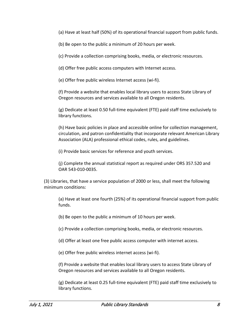(a) Have at least half (50%) of its operational financial support from public funds.

(b) Be open to the public a minimum of 20 hours per week.

(c) Provide a collection comprising books, media, or electronic resources.

(d) Offer free public access computers with Internet access.

(e) Offer free public wireless Internet access (wi-fi).

(f) Provide a website that enables local library users to access State Library of Oregon resources and services available to all Oregon residents.

(g) Dedicate at least 0.50 full-time equivalent (FTE) paid staff time exclusively to library functions.

(h) Have basic policies in place and accessible online for collection management, circulation, and patron confidentiality that incorporate relevant American Library Association (ALA) professional ethical codes, rules, and guidelines.

(i) Provide basic services for reference and youth services.

(j) Complete the annual statistical report as required under ORS 357.520 and OAR 543-010-0035.

(3) Libraries, that have a service population of 2000 or less, shall meet the following minimum conditions:

(a) Have at least one fourth (25%) of its operational financial support from public funds.

(b) Be open to the public a minimum of 10 hours per week.

(c) Provide a collection comprising books, media, or electronic resources.

(d) Offer at least one free public access computer with internet access.

(e) Offer free public wireless internet access (wi-fi).

(f) Provide a website that enables local library users to access State Library of Oregon resources and services available to all Oregon residents.

(g) Dedicate at least 0.25 full-time equivalent (FTE) paid staff time exclusively to library functions.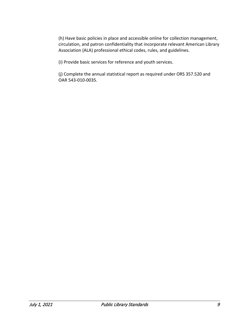(h) Have basic policies in place and accessible online for collection management, circulation, and patron confidentiality that incorporate relevant American Library Association (ALA) professional ethical codes, rules, and guidelines.

(i) Provide basic services for reference and youth services.

(j) Complete the annual statistical report as required under ORS 357.520 and OAR 543-010-0035.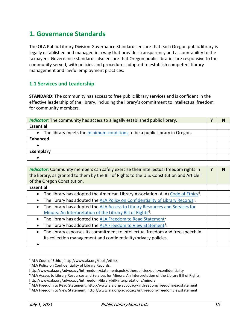# <span id="page-9-0"></span>**1. Governance Standards**

The OLA Public Library Division Governance Standards ensure that each Oregon public library is legally established and managed in a way that provides transparency and accountability to the taxpayers. Governance standards also ensure that Oregon public libraries are responsive to the community served, with policies and procedures adopted to establish competent library management and lawful employment practices.

# <span id="page-9-1"></span>**1.1 Services and Leadership**

**STANDARD**: The community has access to free public library services and is confident in the effective leadership of the library, including the library's commitment to intellectual freedom for community members.

| <i>Indicator:</i> The community has access to a legally established public library.     |  |
|-----------------------------------------------------------------------------------------|--|
| <b>Essential</b>                                                                        |  |
| The library meets the minimum conditions to be a public library in Oregon.<br>$\bullet$ |  |
| <b>Enhanced</b>                                                                         |  |
|                                                                                         |  |
| <b>Exemplary</b>                                                                        |  |
|                                                                                         |  |

| Indicator: Community members can safely exercise their intellectual freedom rights in<br>the library, as granted to them by the Bill of Rights to the U.S. Constitution and Article I<br>of the Oregon Constitution. | N |
|----------------------------------------------------------------------------------------------------------------------------------------------------------------------------------------------------------------------|---|
| <b>Essential</b>                                                                                                                                                                                                     |   |
| The library has adopted the American Library Association (ALA) Code of Ethics <sup>4</sup> .                                                                                                                         |   |
| The library has adopted the ALA Policy on Confidentiality of Library Records <sup>5</sup> .                                                                                                                          |   |
| The library has adopted the ALA Access to Library Resources and Services for<br>$\bullet$                                                                                                                            |   |
| Minors: An Interpretation of the Library Bill of Rights <sup>6</sup> .                                                                                                                                               |   |
| The library has adopted the ALA Freedom to Read Statement <sup>7</sup> .                                                                                                                                             |   |
| The library has adopted the ALA Freedom to View Statement <sup>8</sup> .                                                                                                                                             |   |
| The library espouses its commitment to intellectual freedom and free speech in<br>$\bullet$                                                                                                                          |   |
| its collection management and confidentiality/privacy policies.                                                                                                                                                      |   |
|                                                                                                                                                                                                                      |   |

<span id="page-9-2"></span><sup>4</sup> ALA Code of Ethics, http://www.ala.org/tools/ethics

<span id="page-9-3"></span><sup>5</sup> ALA Policy on Confidentiality of Library Records,

http://www.ala.org/advocacy/intfreedom/statementspols/otherpolicies/policyconfidentiality

<span id="page-9-4"></span><sup>6</sup> ALA Access to Library Resources and Services for Minors: An Interpretation of the Library Bill of Rights,

http://www.ala.org/advocacy/intfreedom/librarybill/interpretations/minors

<span id="page-9-6"></span><span id="page-9-5"></span> $7$  ALA Freedom to Read Statement, http://www.ala.org/advocacy/intfreedom/freedomreadstatement

<sup>8</sup> ALA Freedom to View Statement, http://www.ala.org/advocacy/intfreedom/freedomviewstatement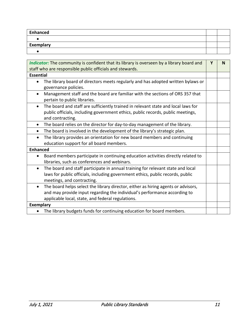| <b>Enhanced</b> |  |
|-----------------|--|
|                 |  |
| Exemplary       |  |
|                 |  |

| Indicator: The community is confident that its library is overseen by a library board and                                                                                                                                        | Y | N |
|----------------------------------------------------------------------------------------------------------------------------------------------------------------------------------------------------------------------------------|---|---|
| staff who are responsible public officials and stewards.                                                                                                                                                                         |   |   |
| <b>Essential</b>                                                                                                                                                                                                                 |   |   |
| The library board of directors meets regularly and has adopted written bylaws or<br>governance policies.                                                                                                                         |   |   |
| Management staff and the board are familiar with the sections of ORS 357 that<br>pertain to public libraries.                                                                                                                    |   |   |
| The board and staff are sufficiently trained in relevant state and local laws for<br>$\bullet$                                                                                                                                   |   |   |
| public officials, including government ethics, public records, public meetings,<br>and contracting.                                                                                                                              |   |   |
| The board relies on the director for day-to-day management of the library.<br>$\bullet$                                                                                                                                          |   |   |
| The board is involved in the development of the library's strategic plan.<br>$\bullet$                                                                                                                                           |   |   |
| The library provides an orientation for new board members and continuing<br>$\bullet$                                                                                                                                            |   |   |
| education support for all board members.                                                                                                                                                                                         |   |   |
| <b>Enhanced</b>                                                                                                                                                                                                                  |   |   |
| Board members participate in continuing education activities directly related to<br>$\bullet$<br>libraries, such as conferences and webinars.                                                                                    |   |   |
| The board and staff participate in annual training for relevant state and local<br>$\bullet$<br>laws for public officials, including government ethics, public records, public<br>meetings, and contracting.                     |   |   |
| The board helps select the library director, either as hiring agents or advisors,<br>$\bullet$<br>and may provide input regarding the individual's performance according to<br>applicable local, state, and federal regulations. |   |   |
| <b>Exemplary</b>                                                                                                                                                                                                                 |   |   |
| The library budgets funds for continuing education for board members.                                                                                                                                                            |   |   |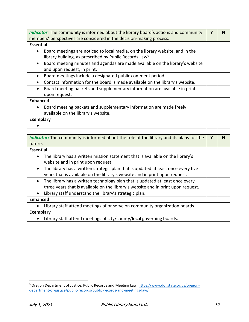| Indicator: The community is informed about the library board's actions and community    | Υ | N |
|-----------------------------------------------------------------------------------------|---|---|
| members' perspectives are considered in the decision-making process.                    |   |   |
| <b>Essential</b>                                                                        |   |   |
| Board meetings are noticed to local media, on the library website, and in the           |   |   |
| library building, as prescribed by Public Records Law <sup>9</sup> .                    |   |   |
| Board meeting minutes and agendas are made available on the library's website           |   |   |
| and upon request, in print.                                                             |   |   |
| Board meetings include a designated public comment period.                              |   |   |
| Contact information for the board is made available on the library's website.           |   |   |
| Board meeting packets and supplementary information are available in print<br>$\bullet$ |   |   |
| upon request.                                                                           |   |   |
| <b>Enhanced</b>                                                                         |   |   |
| Board meeting packets and supplementary information are made freely<br>$\bullet$        |   |   |
| available on the library's website.                                                     |   |   |
| <b>Exemplary</b>                                                                        |   |   |
|                                                                                         |   |   |

| <i>Indicator:</i> The community is informed about the role of the library and its plans for the | Υ | N |
|-------------------------------------------------------------------------------------------------|---|---|
| future.                                                                                         |   |   |
| <b>Essential</b>                                                                                |   |   |
| The library has a written mission statement that is available on the library's<br>$\bullet$     |   |   |
| website and in print upon request.                                                              |   |   |
| The library has a written strategic plan that is updated at least once every five<br>$\bullet$  |   |   |
| years that is available on the library's website and in print upon request.                     |   |   |
| The library has a written technology plan that is updated at least once every<br>$\bullet$      |   |   |
| three years that is available on the library's website and in print upon request.               |   |   |
| Library staff understand the library's strategic plan.                                          |   |   |
| <b>Enhanced</b>                                                                                 |   |   |
| Library staff attend meetings of or serve on community organization boards.                     |   |   |
| <b>Exemplary</b>                                                                                |   |   |
| Library staff attend meetings of city/county/local governing boards.                            |   |   |

<span id="page-11-0"></span><sup>&</sup>lt;sup>9</sup> Oregon Department of Justice, Public Records and Meeting Law, [https://www.doj.state.or.us/oregon](https://www.doj.state.or.us/oregon-department-of-justice/public-records/public-records-and-meetings-law/)[department-of-justice/public-records/public-records-and-meetings-law/](https://www.doj.state.or.us/oregon-department-of-justice/public-records/public-records-and-meetings-law/)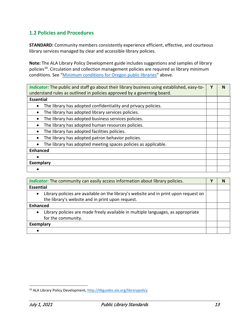# <span id="page-12-0"></span>**1.2 Policies and Procedures**

**STANDARD:** Community members consistently experience efficient, effective, and courteous library services managed by clear and accessible library policies.

**Note:** The ALA Library Policy Development guide includes suggestions and samples of library policies<sup>[10](#page-12-1)</sup>. Circulation and collection management policies are required as library minimum conditions. See ["Minimum conditions for Oregon public libraries"](#page-6-0) above.

| Indicator: The public and staff go about their library business using established, easy-to- | Υ | N |
|---------------------------------------------------------------------------------------------|---|---|
| understand rules as outlined in policies approved by a governing board.                     |   |   |
| <b>Essential</b>                                                                            |   |   |
| The library has adopted confidentiality and privacy policies.                               |   |   |
| The library has adopted library services policies.                                          |   |   |
| The library has adopted business services policies.                                         |   |   |
| The library has adopted human resources policies.                                           |   |   |
| The library has adopted facilities policies.                                                |   |   |
| The library has adopted patron behavior policies.                                           |   |   |
| The library has adopted meeting spaces policies as applicable.                              |   |   |
| <b>Enhanced</b>                                                                             |   |   |
|                                                                                             |   |   |
| <b>Exemplary</b>                                                                            |   |   |
|                                                                                             |   |   |

| <i>Indicator:</i> The community can easily access information about library policies.             | v | N |
|---------------------------------------------------------------------------------------------------|---|---|
| <b>Essential</b>                                                                                  |   |   |
| Library policies are available on the library's website and in print upon request on<br>$\bullet$ |   |   |
| the library's website and in print upon request.                                                  |   |   |
| <b>Enhanced</b>                                                                                   |   |   |
| Library policies are made freely available in multiple languages, as appropriate<br>$\bullet$     |   |   |
| for the community.                                                                                |   |   |
| <b>Exemplary</b>                                                                                  |   |   |
|                                                                                                   |   |   |

<span id="page-12-1"></span><sup>&</sup>lt;sup>10</sup> ALA Library Policy Development, <http://libguides.ala.org/librarypolicy>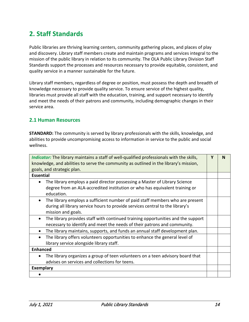# <span id="page-13-0"></span>**2. Staff Standards**

Public libraries are thriving learning centers, community gathering places, and places of play and discovery. Library staff members create and maintain programs and services integral to the mission of the public library in relation to its community. The OLA Public Library Division Staff Standards support the processes and resources necessary to provide equitable, consistent, and quality service in a manner sustainable for the future.

Library staff members, regardless of degree or position, must possess the depth and breadth of knowledge necessary to provide quality service. To ensure service of the highest quality, libraries must provide all staff with the education, training, and support necessary to identify and meet the needs of their patrons and community, including demographic changes in their service area.

## <span id="page-13-1"></span>**2.1 Human Resources**

**STANDARD:** The community is served by library professionals with the skills, knowledge, and abilities to provide uncompromising access to information in service to the public and social wellness.

| Indicator: The library maintains a staff of well-qualified professionals with the skills,<br>knowledge, and abilities to serve the community as outlined in the library's mission,<br>goals, and strategic plan. | N |
|------------------------------------------------------------------------------------------------------------------------------------------------------------------------------------------------------------------|---|
| <b>Essential</b>                                                                                                                                                                                                 |   |
| The library employs a paid director possessing a Master of Library Science<br>degree from an ALA-accredited institution or who has equivalent training or<br>education.                                          |   |
| The library employs a sufficient number of paid staff members who are present<br>$\bullet$<br>during all library service hours to provide services central to the library's<br>mission and goals.                |   |
| The library provides staff with continued training opportunities and the support<br>$\bullet$<br>necessary to identify and meet the needs of their patrons and community.                                        |   |
| The library maintains, supports, and funds an annual staff development plan.<br>$\bullet$                                                                                                                        |   |
| The library offers volunteers opportunities to enhance the general level of<br>$\bullet$<br>library service alongside library staff.                                                                             |   |
| <b>Enhanced</b>                                                                                                                                                                                                  |   |
| The library organizes a group of teen volunteers on a teen advisory board that<br>$\bullet$<br>advises on services and collections for teens.                                                                    |   |
| <b>Exemplary</b>                                                                                                                                                                                                 |   |
|                                                                                                                                                                                                                  |   |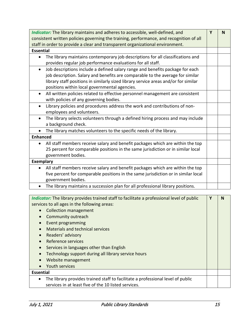| Indicator: The library maintains and adheres to accessible, well-defined, and                | Y | N |
|----------------------------------------------------------------------------------------------|---|---|
| consistent written policies governing the training, performance, and recognition of all      |   |   |
| staff in order to provide a clear and transparent organizational environment.                |   |   |
| <b>Essential</b>                                                                             |   |   |
| The library maintains contemporary job descriptions for all classifications and<br>$\bullet$ |   |   |
| provides regular job performance evaluations for all staff.                                  |   |   |
| Job descriptions include a defined salary range and benefits package for each<br>$\bullet$   |   |   |
| job description. Salary and benefits are comparable to the average for similar               |   |   |
| library staff positions in similarly sized library service areas and/or for similar          |   |   |
| positions within local governmental agencies.                                                |   |   |
| All written policies related to effective personnel management are consistent<br>$\bullet$   |   |   |
| with policies of any governing bodies.                                                       |   |   |
| Library policies and procedures address the work and contributions of non-<br>$\bullet$      |   |   |
| employees and volunteers.                                                                    |   |   |
| The library selects volunteers through a defined hiring process and may include<br>$\bullet$ |   |   |
| a background check.                                                                          |   |   |
| The library matches volunteers to the specific needs of the library.                         |   |   |
| <b>Enhanced</b>                                                                              |   |   |
| All staff members receive salary and benefit packages which are within the top<br>$\bullet$  |   |   |
| 25 percent for comparable positions in the same jurisdiction or in similar local             |   |   |
| government bodies.                                                                           |   |   |
| <b>Exemplary</b>                                                                             |   |   |
| All staff members receive salary and benefit packages which are within the top<br>$\bullet$  |   |   |
| five percent for comparable positions in the same jurisdiction or in similar local           |   |   |
| government bodies.                                                                           |   |   |
| The library maintains a succession plan for all professional library positions.<br>$\bullet$ |   |   |

| Indicator: The library provides trained staff to facilitate a professional level of public   | Υ | N |
|----------------------------------------------------------------------------------------------|---|---|
| services to all ages in the following areas:                                                 |   |   |
| <b>Collection management</b><br>$\bullet$                                                    |   |   |
| Community outreach<br>$\bullet$                                                              |   |   |
| Event programming                                                                            |   |   |
| Materials and technical services<br>$\bullet$                                                |   |   |
| Readers' advisory<br>$\bullet$                                                               |   |   |
| Reference services<br>$\bullet$                                                              |   |   |
| Services in languages other than English<br>$\bullet$                                        |   |   |
| Technology support during all library service hours<br>$\bullet$                             |   |   |
| Website management<br>$\bullet$                                                              |   |   |
| <b>Youth services</b><br>$\bullet$                                                           |   |   |
| <b>Essential</b>                                                                             |   |   |
| The library provides trained staff to facilitate a professional level of public<br>$\bullet$ |   |   |
| services in at least five of the 10 listed services.                                         |   |   |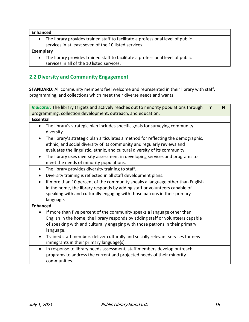| <b>Enhanced</b>                                                                              |  |
|----------------------------------------------------------------------------------------------|--|
| The library provides trained staff to facilitate a professional level of public<br>$\bullet$ |  |
| services in at least seven of the 10 listed services.                                        |  |
| <b>Exemplary</b>                                                                             |  |
| The library provides trained staff to facilitate a professional level of public<br>$\bullet$ |  |
| services in all of the 10 listed services.                                                   |  |

# <span id="page-15-0"></span>**2.2 Diversity and Community Engagement**

**STANDARD:** All community members feel welcome and represented in their library with staff, programming, and collections which meet their diverse needs and wants.

| Indicator: The library targets and actively reaches out to minority populations through        | Y | N |
|------------------------------------------------------------------------------------------------|---|---|
| programming, collection development, outreach, and education.                                  |   |   |
| <b>Essential</b>                                                                               |   |   |
| The library's strategic plan includes specific goals for surveying community                   |   |   |
| diversity.                                                                                     |   |   |
| The library's strategic plan articulates a method for reflecting the demographic,<br>$\bullet$ |   |   |
| ethnic, and social diversity of its community and regularly reviews and                        |   |   |
| evaluates the linguistic, ethnic, and cultural diversity of its community.                     |   |   |
| The library uses diversity assessment in developing services and programs to<br>$\bullet$      |   |   |
| meet the needs of minority populations.                                                        |   |   |
| The library provides diversity training to staff.<br>$\bullet$                                 |   |   |
| Diversity training is reflected in all staff development plans.<br>$\bullet$                   |   |   |
| If more than 10 percent of the community speaks a language other than English<br>$\bullet$     |   |   |
| in the home, the library responds by adding staff or volunteers capable of                     |   |   |
| speaking with and culturally engaging with those patrons in their primary                      |   |   |
| language.                                                                                      |   |   |
| <b>Enhanced</b>                                                                                |   |   |
| If more than five percent of the community speaks a language other than<br>$\bullet$           |   |   |
| English in the home, the library responds by adding staff or volunteers capable                |   |   |
| of speaking with and culturally engaging with those patrons in their primary                   |   |   |
| language.                                                                                      |   |   |
| Trained staff members deliver culturally and socially relevant services for new<br>$\bullet$   |   |   |
| immigrants in their primary language(s).                                                       |   |   |
| In response to library needs assessment, staff members develop outreach<br>$\bullet$           |   |   |
| programs to address the current and projected needs of their minority                          |   |   |
| communities.                                                                                   |   |   |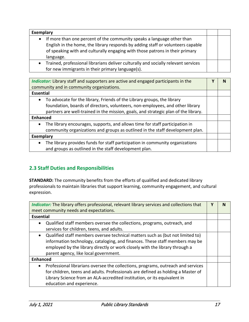| <b>Exemplary</b>                                                                                                                                                                                                                                                    |  |
|---------------------------------------------------------------------------------------------------------------------------------------------------------------------------------------------------------------------------------------------------------------------|--|
| If more than one percent of the community speaks a language other than<br>$\bullet$<br>English in the home, the library responds by adding staff or volunteers capable<br>of speaking with and culturally engaging with those patrons in their primary<br>language. |  |
| Trained, professional librarians deliver culturally and socially relevant services<br>$\bullet$<br>for new immigrants in their primary language(s).                                                                                                                 |  |

| Indicator: Library staff and supporters are active and engaged participants in the         | v | N |
|--------------------------------------------------------------------------------------------|---|---|
| community and in community organizations.                                                  |   |   |
| <b>Essential</b>                                                                           |   |   |
| To advocate for the library, Friends of the Library groups, the library<br>$\bullet$       |   |   |
| foundation, boards of directors, volunteers, non-employees, and other library              |   |   |
| partners are well-trained in the mission, goals, and strategic plan of the library.        |   |   |
| <b>Enhanced</b>                                                                            |   |   |
| The library encourages, supports, and allows time for staff participation in<br>$\bullet$  |   |   |
| community organizations and groups as outlined in the staff development plan.              |   |   |
| <b>Exemplary</b>                                                                           |   |   |
| The library provides funds for staff participation in community organizations<br>$\bullet$ |   |   |
| and groups as outlined in the staff development plan.                                      |   |   |

# <span id="page-16-0"></span>**2.3 Staff Duties and Responsibilities**

**STANDARD:** The community benefits from the efforts of qualified and dedicated library professionals to maintain libraries that support learning, community engagement, and cultural expression.

| Indicator: The library offers professional, relevant library services and collections that    | ν |  |
|-----------------------------------------------------------------------------------------------|---|--|
| meet community needs and expectations.                                                        |   |  |
| <b>Essential</b>                                                                              |   |  |
| Qualified staff members oversee the collections, programs, outreach, and<br>$\bullet$         |   |  |
| services for children, teens, and adults.                                                     |   |  |
| Qualified staff members oversee technical matters such as (but not limited to)                |   |  |
| information technology, cataloging, and finances. These staff members may be                  |   |  |
| employed by the library directly or work closely with the library through a                   |   |  |
| parent agency, like local government.                                                         |   |  |
| <b>Enhanced</b>                                                                               |   |  |
| Professional librarians oversee the collections, programs, outreach and services<br>$\bullet$ |   |  |
| for children, teens and adults. Professionals are defined as holding a Master of              |   |  |
| Library Science from an ALA-accredited institution, or its equivalent in                      |   |  |
| education and experience.                                                                     |   |  |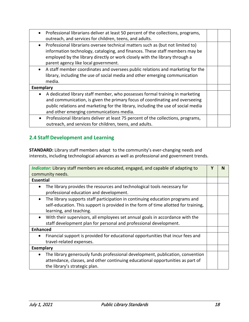| • Professional librarians deliver at least 50 percent of the collections, programs,<br>outreach, and services for children, teens, and adults.                                                                                                                                                             |  |
|------------------------------------------------------------------------------------------------------------------------------------------------------------------------------------------------------------------------------------------------------------------------------------------------------------|--|
| Professional librarians oversee technical matters such as (but not limited to)<br>information technology, cataloging, and finances. These staff members may be<br>employed by the library directly or work closely with the library through a<br>parent agency like local government.                      |  |
| • A staff member coordinates and oversees public relations and marketing for the<br>library, including the use of social media and other emerging communication<br>media.                                                                                                                                  |  |
| <b>Exemplary</b>                                                                                                                                                                                                                                                                                           |  |
| A dedicated library staff member, who possesses formal training in marketing<br>$\bullet$<br>and communication, is given the primary focus of coordinating and overseeing<br>public relations and marketing for the library, including the use of social media<br>and other emerging communications media. |  |
| Professional librarians deliver at least 75 percent of the collections, programs,<br>$\bullet$<br>outreach, and services for children, teens, and adults.                                                                                                                                                  |  |

# <span id="page-17-0"></span>**2.4 Staff Development and Learning**

**STANDARD:** Library staff members adapt to the community's ever-changing needs and interests, including technological advances as well as professional and government trends.

| Indicator: Library staff members are educated, engaged, and capable of adapting to           | γ | N |
|----------------------------------------------------------------------------------------------|---|---|
| community needs.                                                                             |   |   |
| <b>Essential</b>                                                                             |   |   |
| The library provides the resources and technological tools necessary for<br>$\bullet$        |   |   |
| professional education and development.                                                      |   |   |
| The library supports staff participation in continuing education programs and<br>$\bullet$   |   |   |
| self-education. This support is provided in the form of time allotted for training,          |   |   |
| learning, and teaching.                                                                      |   |   |
| With their supervisors, all employees set annual goals in accordance with the<br>$\bullet$   |   |   |
| staff development plan for personal and professional development.                            |   |   |
| <b>Enhanced</b>                                                                              |   |   |
| Financial support is provided for educational opportunities that incur fees and<br>$\bullet$ |   |   |
| travel-related expenses.                                                                     |   |   |
| <b>Exemplary</b>                                                                             |   |   |
| The library generously funds professional development, publication, convention<br>$\bullet$  |   |   |
| attendance, classes, and other continuing educational opportunities as part of               |   |   |
| the library's strategic plan.                                                                |   |   |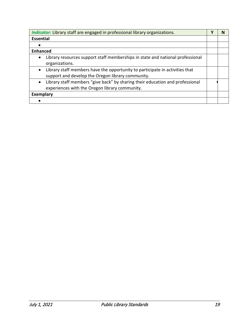| Indicator: Library staff are engaged in professional library organizations.                                                                    | N |
|------------------------------------------------------------------------------------------------------------------------------------------------|---|
| <b>Essential</b>                                                                                                                               |   |
|                                                                                                                                                |   |
| <b>Enhanced</b>                                                                                                                                |   |
| Library resources support staff memberships in state and national professional<br>$\bullet$<br>organizations.                                  |   |
| Library staff members have the opportunity to participate in activities that<br>$\bullet$<br>support and develop the Oregon library community. |   |
| Library staff members "give back" by sharing their education and professional<br>$\bullet$<br>experiences with the Oregon library community.   |   |
| <b>Exemplary</b>                                                                                                                               |   |
|                                                                                                                                                |   |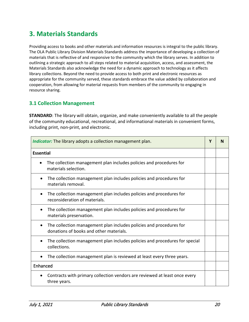# <span id="page-19-0"></span>**3. Materials Standards**

Providing access to books and other materials and information resources is integral to the public library. The OLA Public Library Division Materials Standards address the importance of developing a collection of materials that is reflective of and responsive to the community which the library serves. In addition to outlining a strategic approach to all steps related to material acquisition, access, and assessment, the Materials Standards also acknowledge the need for a dynamic approach to technology as it affects library collections. Beyond the need to provide access to both print and electronic resources as appropriate for the community served, these standards embrace the value added by collaboration and cooperation, from allowing for material requests from members of the community to engaging in resource sharing.

### <span id="page-19-1"></span>**3.1 Collection Management**

**STANDARD**: The library will obtain, organize, and make conveniently available to all the people of the community educational, recreational, and informational materials in convenient forms, including print, non-print, and electronic.

| <i>Indicator:</i> The library adopts a collection management plan.                                                          | Y | N |
|-----------------------------------------------------------------------------------------------------------------------------|---|---|
| <b>Essential</b>                                                                                                            |   |   |
| The collection management plan includes policies and procedures for<br>materials selection.                                 |   |   |
| The collection management plan includes policies and procedures for<br>materials removal.                                   |   |   |
| The collection management plan includes policies and procedures for<br>$\bullet$<br>reconsideration of materials.           |   |   |
| The collection management plan includes policies and procedures for<br>materials preservation.                              |   |   |
| The collection management plan includes policies and procedures for<br>$\bullet$<br>donations of books and other materials. |   |   |
| The collection management plan includes policies and procedures for special<br>$\bullet$<br>collections.                    |   |   |
| The collection management plan is reviewed at least every three years.                                                      |   |   |
| Enhanced                                                                                                                    |   |   |
| Contracts with primary collection vendors are reviewed at least once every<br>three years.                                  |   |   |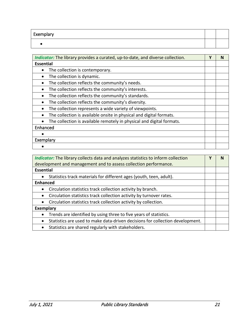| Exemplary |  |
|-----------|--|
|           |  |

| Indicator: The library provides a curated, up-to-date, and diverse collection. | γ | N |
|--------------------------------------------------------------------------------|---|---|
| <b>Essential</b>                                                               |   |   |
| The collection is contemporary.                                                |   |   |
| The collection is dynamic.                                                     |   |   |
| The collection reflects the community's needs.                                 |   |   |
| The collection reflects the community's interests.                             |   |   |
| The collection reflects the community's standards.                             |   |   |
| The collection reflects the community's diversity.                             |   |   |
| The collection represents a wide variety of viewpoints.                        |   |   |
| The collection is available onsite in physical and digital formats.            |   |   |
| The collection is available remotely in physical and digital formats.          |   |   |
| Enhanced                                                                       |   |   |
|                                                                                |   |   |
| Exemplary                                                                      |   |   |
|                                                                                |   |   |

| Indicator: The library collects data and analyzes statistics to inform collection | v |  |
|-----------------------------------------------------------------------------------|---|--|
| development and management and to assess collection performance.                  |   |  |
| <b>Essential</b>                                                                  |   |  |
| Statistics track materials for different ages (youth, teen, adult).<br>$\bullet$  |   |  |
| <b>Enhanced</b>                                                                   |   |  |
| Circulation statistics track collection activity by branch.                       |   |  |
| Circulation statistics track collection activity by turnover rates.<br>$\bullet$  |   |  |
| Circulation statistics track collection activity by collection.                   |   |  |
| <b>Exemplary</b>                                                                  |   |  |
| Trends are identified by using three to five years of statistics.                 |   |  |
| Statistics are used to make data-driven decisions for collection development.     |   |  |
| Statistics are shared regularly with stakeholders.                                |   |  |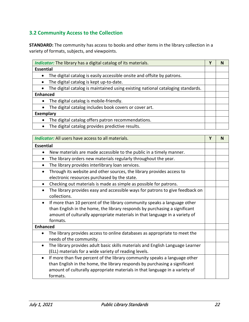# <span id="page-21-0"></span>**3.2 Community Access to the Collection**

**STANDARD:** The community has access to books and other items in the library collection in a variety of formats, subjects, and viewpoints.

| <b>Indicator:</b> The library has a digital catalog of its materials.           | Υ | N |
|---------------------------------------------------------------------------------|---|---|
| <b>Essential</b>                                                                |   |   |
| The digital catalog is easily accessible onsite and offsite by patrons.         |   |   |
| The digital catalog is kept up-to-date.                                         |   |   |
| The digital catalog is maintained using existing national cataloging standards. |   |   |
| <b>Enhanced</b>                                                                 |   |   |
| The digital catalog is mobile-friendly.<br>$\bullet$                            |   |   |
| The digital catalog includes book covers or cover art.                          |   |   |
| <b>Exemplary</b>                                                                |   |   |
| The digital catalog offers patron recommendations.<br>$\bullet$                 |   |   |
| The digital catalog provides predictive results.                                |   |   |

| <b>Indicator:</b> All users have access to all materials.                                                                                                                                                                                                        | Υ | N |
|------------------------------------------------------------------------------------------------------------------------------------------------------------------------------------------------------------------------------------------------------------------|---|---|
| <b>Essential</b>                                                                                                                                                                                                                                                 |   |   |
| New materials are made accessible to the public in a timely manner.<br>$\bullet$                                                                                                                                                                                 |   |   |
| The library orders new materials regularly throughout the year.                                                                                                                                                                                                  |   |   |
| The library provides interlibrary loan services.                                                                                                                                                                                                                 |   |   |
| Through its website and other sources, the library provides access to<br>$\bullet$<br>electronic resources purchased by the state.                                                                                                                               |   |   |
| Checking out materials is made as simple as possible for patrons.<br>$\bullet$                                                                                                                                                                                   |   |   |
| The library provides easy and accessible ways for patrons to give feedback on<br>$\bullet$<br>collections.                                                                                                                                                       |   |   |
| If more than 10 percent of the library community speaks a language other<br>$\bullet$<br>than English in the home, the library responds by purchasing a significant<br>amount of culturally appropriate materials in that language in a variety of<br>formats.   |   |   |
| <b>Enhanced</b>                                                                                                                                                                                                                                                  |   |   |
| The library provides access to online databases as appropriate to meet the<br>needs of the community.                                                                                                                                                            |   |   |
| The library provides adult basic skills materials and English Language Learner<br>$\bullet$<br>(ELL) materials for a wide variety of reading levels.                                                                                                             |   |   |
| If more than five percent of the library community speaks a language other<br>$\bullet$<br>than English in the home, the library responds by purchasing a significant<br>amount of culturally appropriate materials in that language in a variety of<br>formats. |   |   |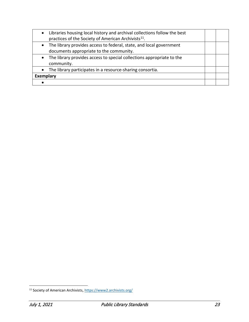| Libraries housing local history and archival collections follow the best<br>$\bullet$<br>practices of the Society of American Archivists <sup>11</sup> . |  |
|----------------------------------------------------------------------------------------------------------------------------------------------------------|--|
| The library provides access to federal, state, and local government<br>$\bullet$<br>documents appropriate to the community.                              |  |
| The library provides access to special collections appropriate to the<br>$\bullet$<br>community.                                                         |  |
| The library participates in a resource-sharing consortia.<br>$\bullet$                                                                                   |  |
| <b>Exemplary</b>                                                                                                                                         |  |
|                                                                                                                                                          |  |

<span id="page-22-0"></span><sup>11</sup> Society of American Archivists,<https://www2.archivists.org/>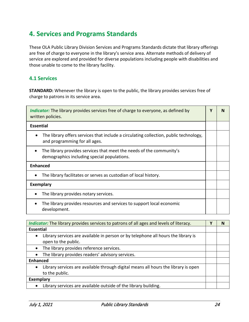# <span id="page-23-0"></span>**4. Services and Programs Standards**

These OLA Public Library Division Services and Programs Standards dictate that library offerings are free of charge to everyone in the library's service area. Alternate methods of delivery of service are explored and provided for diverse populations including people with disabilities and those unable to come to the library facility.

### <span id="page-23-1"></span>**4.1 Services**

**STANDARD:** Whenever the library is open to the public, the library provides services free of charge to patrons in its service area.

| Indicator: The library provides services free of charge to everyone, as defined by<br>written policies.                          | ν | N |
|----------------------------------------------------------------------------------------------------------------------------------|---|---|
| <b>Essential</b>                                                                                                                 |   |   |
| The library offers services that include a circulating collection, public technology,<br>and programming for all ages.           |   |   |
| The library provides services that meet the needs of the community's<br>$\bullet$<br>demographics including special populations. |   |   |
| <b>Enhanced</b>                                                                                                                  |   |   |
| The library facilitates or serves as custodian of local history.                                                                 |   |   |
| <b>Exemplary</b>                                                                                                                 |   |   |
| The library provides notary services.                                                                                            |   |   |
| The library provides resources and services to support local economic<br>$\bullet$<br>development.                               |   |   |
|                                                                                                                                  |   |   |

| <i>Indicator:</i> The library provides services to patrons of all ages and levels of literacy.                        | v | N |
|-----------------------------------------------------------------------------------------------------------------------|---|---|
| <b>Essential</b>                                                                                                      |   |   |
| Library services are available in person or by telephone all hours the library is<br>$\bullet$<br>open to the public. |   |   |
| The library provides reference services.<br>$\bullet$                                                                 |   |   |
| The library provides readers' advisory services.<br>$\bullet$                                                         |   |   |
| <b>Enhanced</b>                                                                                                       |   |   |
| Library services are available through digital means all hours the library is open<br>$\bullet$<br>to the public.     |   |   |
| <b>Exemplary</b>                                                                                                      |   |   |
| Library services are available outside of the library building.                                                       |   |   |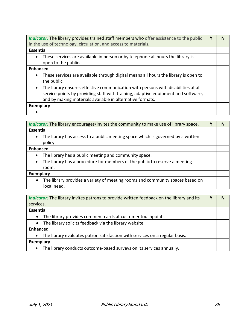| <i>Indicator:</i> The library provides trained staff members who offer assistance to the public  | γ | N |
|--------------------------------------------------------------------------------------------------|---|---|
| in the use of technology, circulation, and access to materials.                                  |   |   |
| <b>Essential</b>                                                                                 |   |   |
| These services are available in person or by telephone all hours the library is<br>$\bullet$     |   |   |
| open to the public.                                                                              |   |   |
| <b>Enhanced</b>                                                                                  |   |   |
| These services are available through digital means all hours the library is open to<br>$\bullet$ |   |   |
| the public.                                                                                      |   |   |
| The library ensures effective communication with persons with disabilities at all<br>$\bullet$   |   |   |
| service points by providing staff with training, adaptive equipment and software,                |   |   |
| and by making materials available in alternative formats.                                        |   |   |
| <b>Exemplary</b>                                                                                 |   |   |
|                                                                                                  |   |   |

| Indicator: The library encourages/invites the community to make use of library space.        | v | N |
|----------------------------------------------------------------------------------------------|---|---|
| <b>Essential</b>                                                                             |   |   |
| The library has access to a public meeting space which is governed by a written<br>$\bullet$ |   |   |
| policy.                                                                                      |   |   |
| <b>Enhanced</b>                                                                              |   |   |
| The library has a public meeting and community space.<br>$\bullet$                           |   |   |
| The library has a procedure for members of the public to reserve a meeting<br>$\bullet$      |   |   |
| room.                                                                                        |   |   |
| <b>Exemplary</b>                                                                             |   |   |
| The library provides a variety of meeting rooms and community spaces based on<br>$\bullet$   |   |   |
| local need.                                                                                  |   |   |

| Indicator: The library invites patrons to provide written feedback on the library and its | v | N |
|-------------------------------------------------------------------------------------------|---|---|
| services.                                                                                 |   |   |
| <b>Essential</b>                                                                          |   |   |
| The library provides comment cards at customer touchpoints.<br>$\bullet$                  |   |   |
| The library solicits feedback via the library website.<br>$\bullet$                       |   |   |
| <b>Enhanced</b>                                                                           |   |   |
| The library evaluates patron satisfaction with services on a regular basis.<br>$\bullet$  |   |   |
| <b>Exemplary</b>                                                                          |   |   |
| The library conducts outcome-based surveys on its services annually.<br>$\bullet$         |   |   |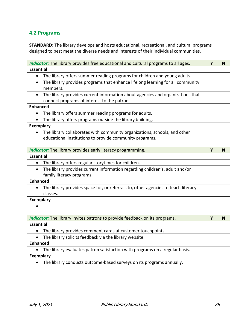# <span id="page-25-0"></span>**4.2 Programs**

**STANDARD:** The library develops and hosts educational, recreational, and cultural programs designed to best meet the diverse needs and interests of their individual communities.

| Indicator: The library provides free educational and cultural programs to all ages.                                                               | ν | N |
|---------------------------------------------------------------------------------------------------------------------------------------------------|---|---|
| <b>Essential</b>                                                                                                                                  |   |   |
| The library offers summer reading programs for children and young adults.<br>$\bullet$                                                            |   |   |
| The library provides programs that enhance lifelong learning for all community<br>$\bullet$<br>members.                                           |   |   |
| The library provides current information about agencies and organizations that<br>$\bullet$<br>connect programs of interest to the patrons.       |   |   |
| <b>Enhanced</b>                                                                                                                                   |   |   |
| The library offers summer reading programs for adults.<br>$\bullet$                                                                               |   |   |
| The library offers programs outside the library building.                                                                                         |   |   |
| Exemplary                                                                                                                                         |   |   |
| The library collaborates with community organizations, schools, and other<br>$\bullet$<br>educational institutions to provide community programs. |   |   |

| Indicator: The library provides early literacy programming.                                    | N |
|------------------------------------------------------------------------------------------------|---|
| <b>Essential</b>                                                                               |   |
| The library offers regular storytimes for children.<br>$\bullet$                               |   |
| The library provides current information regarding children's, adult and/or<br>$\bullet$       |   |
| family literacy programs.                                                                      |   |
| <b>Enhanced</b>                                                                                |   |
| The library provides space for, or referrals to, other agencies to teach literacy<br>$\bullet$ |   |
| classes.                                                                                       |   |
| <b>Exemplary</b>                                                                               |   |
|                                                                                                |   |

| Indicator: The library invites patrons to provide feedback on its programs.              |  |
|------------------------------------------------------------------------------------------|--|
| <b>Essential</b>                                                                         |  |
| The library provides comment cards at customer touchpoints.<br>$\bullet$                 |  |
| The library solicits feedback via the library website.<br>$\bullet$                      |  |
| <b>Enhanced</b>                                                                          |  |
| The library evaluates patron satisfaction with programs on a regular basis.<br>$\bullet$ |  |
| Exemplary                                                                                |  |
| The library conducts outcome-based surveys on its programs annually.                     |  |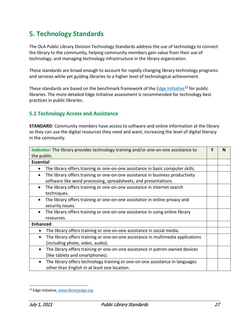# <span id="page-26-0"></span>**5. Technology Standards**

The OLA Public Library Division Technology Standards address the use of technology to connect the library to the community, helping community members gain value from their use of technology, and managing technology infrastructure in the library organization.

These standards are broad enough to account for rapidly changing library technology programs and services while yet guiding libraries to a higher level of technological achievement.

These standards are based on the benchmark framework of the  $Edge$  Initiative<sup>[12](#page-26-2)</sup> for public libraries. The more detailed Edge Initiative assessment is recommended for technology best practices in public libraries.

## <span id="page-26-1"></span>**5.1 Technology Access and Assistance**

**STANDARD**: Community members have access to software and online information at the library so they can use the digital resources they need and want, increasing the level of digital literacy in the community.

| Indicator: The library provides technology training and/or one-on-one assistance to          | Y | N |
|----------------------------------------------------------------------------------------------|---|---|
| the public.                                                                                  |   |   |
| <b>Essential</b>                                                                             |   |   |
| The library offers training or one-on-one assistance in basic computer skills.               |   |   |
| The library offers training or one-on-one assistance in business productivity<br>$\bullet$   |   |   |
| software like word processing, spreadsheets, and presentations.                              |   |   |
| The library offers training or one-on-one assistance in Internet search<br>$\bullet$         |   |   |
| techniques.                                                                                  |   |   |
| The library offers training or one-on-one assistance in online privacy and<br>$\bullet$      |   |   |
| security issues.                                                                             |   |   |
| The library offers training or one-on-one assistance in using online library<br>$\bullet$    |   |   |
| resources.                                                                                   |   |   |
| <b>Enhanced</b>                                                                              |   |   |
| The library offers training or one-on-one assistance in social media.                        |   |   |
| The library offers training or one-on-one assistance in multimedia applications<br>$\bullet$ |   |   |
| (including photo, video, audio).                                                             |   |   |
| The library offers training or one-on-one assistance in patron-owned devices<br>$\bullet$    |   |   |
| (like tablets and smartphones).                                                              |   |   |
| The library offers technology training or one-on-one assistance in languages<br>$\bullet$    |   |   |
| other than English in at least one location.                                                 |   |   |

<span id="page-26-2"></span><sup>12</sup> Edge Initiative, [www.libraryedge.org](http://www.libraryedge.org/)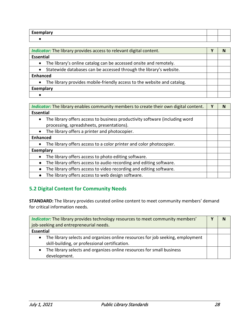| Exemplary |  |
|-----------|--|
|           |  |

| <i>Indicator:</i> The library provides access to relevant digital content.      |  |  |
|---------------------------------------------------------------------------------|--|--|
| <b>Essential</b>                                                                |  |  |
| The library's online catalog can be accessed onsite and remotely.               |  |  |
| Statewide databases can be accessed through the library's website.<br>$\bullet$ |  |  |
| <b>Enhanced</b>                                                                 |  |  |
| The library provides mobile-friendly access to the website and catalog.         |  |  |
| Exemplary                                                                       |  |  |
|                                                                                 |  |  |

| Indicator: The library enables community members to create their own digital content.    |  | N |
|------------------------------------------------------------------------------------------|--|---|
| <b>Essential</b>                                                                         |  |   |
| The library offers access to business productivity software (including word<br>$\bullet$ |  |   |
| processing, spreadsheets, presentations).                                                |  |   |
| The library offers a printer and photocopier.<br>$\bullet$                               |  |   |
| <b>Enhanced</b>                                                                          |  |   |
| The library offers access to a color printer and color photocopier.                      |  |   |
| <b>Exemplary</b>                                                                         |  |   |
| The library offers access to photo editing software.                                     |  |   |
| The library offers access to audio recording and editing software.                       |  |   |
| The library offers access to video recording and editing software.                       |  |   |
| The library offers access to web design software.                                        |  |   |

# <span id="page-27-0"></span>**5.2 Digital Content for Community Needs**

**STANDARD:** The library provides curated online content to meet community members' demand for critical information needs.

| Indicator: The library provides technology resources to meet community members'    |  |
|------------------------------------------------------------------------------------|--|
| job-seeking and entrepreneurial needs.                                             |  |
| <b>Essential</b>                                                                   |  |
| The library selects and organizes online resources for job seeking, employment     |  |
| skill-building, or professional certification.                                     |  |
| The library selects and organizes online resources for small business<br>$\bullet$ |  |
| development.                                                                       |  |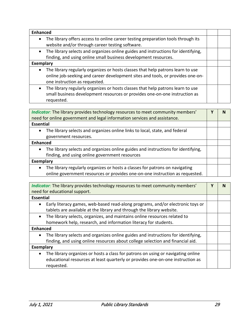| <b>Enhanced</b> |                                                                                                                                                                                                    |  |
|-----------------|----------------------------------------------------------------------------------------------------------------------------------------------------------------------------------------------------|--|
| $\bullet$       | The library offers access to online career testing preparation tools through its<br>website and/or through career testing software.                                                                |  |
| $\bullet$       | The library selects and organizes online guides and instructions for identifying,<br>finding, and using online small business development resources.                                               |  |
| Exemplary       |                                                                                                                                                                                                    |  |
| $\bullet$       | The library regularly organizes or hosts classes that help patrons learn to use<br>online job-seeking and career development sites and tools, or provides one-on-<br>one instruction as requested. |  |
| $\bullet$       | The library regularly organizes or hosts classes that help patrons learn to use<br>small business development resources or provides one-on-one instruction as<br>requested.                        |  |

| Indicator: The library provides technology resources to meet community members'                | N |
|------------------------------------------------------------------------------------------------|---|
| need for online government and legal information services and assistance.                      |   |
| <b>Essential</b>                                                                               |   |
| The library selects and organizes online links to local, state, and federal<br>$\bullet$       |   |
| government resources.                                                                          |   |
| <b>Enhanced</b>                                                                                |   |
| The library selects and organizes online guides and instructions for identifying,<br>$\bullet$ |   |
| finding, and using online government resources                                                 |   |
| <b>Exemplary</b>                                                                               |   |
| The library regularly organizes or hosts a classes for patrons on navigating<br>$\bullet$      |   |
| online government resources or provides one-on-one instruction as requested.                   |   |

| Indicator: The library provides technology resources to meet community members'                | v | N |
|------------------------------------------------------------------------------------------------|---|---|
| need for educational support.                                                                  |   |   |
| <b>Essential</b>                                                                               |   |   |
| Early literacy games, web-based read-along programs, and/or electronic toys or<br>$\bullet$    |   |   |
| tablets are available at the library and through the library website.                          |   |   |
| The library selects, organizes, and maintains online resources related to<br>$\bullet$         |   |   |
| homework help, research, and information literacy for students.                                |   |   |
| <b>Enhanced</b>                                                                                |   |   |
| The library selects and organizes online guides and instructions for identifying,<br>$\bullet$ |   |   |
| finding, and using online resources about college selection and financial aid.                 |   |   |
| <b>Exemplary</b>                                                                               |   |   |
| The library organizes or hosts a class for patrons on using or navigating online<br>$\bullet$  |   |   |
| educational resources at least quarterly or provides one-on-one instruction as                 |   |   |
| requested.                                                                                     |   |   |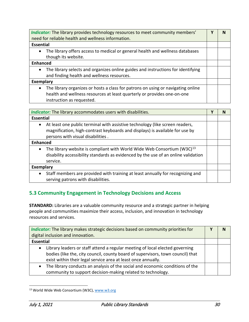| Indicator: The library provides technology resources to meet community members'               | γ | N |
|-----------------------------------------------------------------------------------------------|---|---|
| need for reliable health and wellness information.                                            |   |   |
| <b>Essential</b>                                                                              |   |   |
| The library offers access to medical or general health and wellness databases<br>$\bullet$    |   |   |
| though its website.                                                                           |   |   |
| <b>Enhanced</b>                                                                               |   |   |
| The library selects and organizes online guides and instructions for identifying<br>$\bullet$ |   |   |
| and finding health and wellness resources.                                                    |   |   |
| <b>Exemplary</b>                                                                              |   |   |
| The library organizes or hosts a class for patrons on using or navigating online<br>$\bullet$ |   |   |
| health and wellness resources at least quarterly or provides one-on-one                       |   |   |
| instruction as requested.                                                                     |   |   |

| Indicator: The library accommodates users with disabilities.                                                                                                                                                   |  | Υ | N |
|----------------------------------------------------------------------------------------------------------------------------------------------------------------------------------------------------------------|--|---|---|
| <b>Essential</b>                                                                                                                                                                                               |  |   |   |
| At least one public terminal with assistive technology (like screen readers,<br>$\bullet$<br>magnification, high-contrast keyboards and displays) is available for use by<br>persons with visual disabilities. |  |   |   |
| <b>Enhanced</b>                                                                                                                                                                                                |  |   |   |
| The library website is compliant with World Wide Web Consortium (W3C) <sup>13</sup><br>$\bullet$<br>disability accessibility standards as evidenced by the use of an online validation<br>service.             |  |   |   |
| <b>Exemplary</b>                                                                                                                                                                                               |  |   |   |
| Staff members are provided with training at least annually for recognizing and<br>$\bullet$<br>serving patrons with disabilities.                                                                              |  |   |   |

# <span id="page-29-0"></span>**5.3 Community Engagement in Technology Decisions and Access**

**STANDARD:** Libraries are a valuable community resource and a strategic partner in helping people and communities maximize their access, inclusion, and innovation in technology resources and services.

| Indicator: The library makes strategic decisions based on community priorities for        | N |
|-------------------------------------------------------------------------------------------|---|
| digital inclusion and innovation.                                                         |   |
| <b>Essential</b>                                                                          |   |
| Library leaders or staff attend a regular meeting of local elected governing<br>$\bullet$ |   |
| bodies (like the, city council, county board of supervisors, town council) that           |   |
| exist within their legal service area at least once annually.                             |   |
| The library conducts an analysis of the social and economic conditions of the             |   |
| community to support decision-making related to technology.                               |   |

<span id="page-29-1"></span><sup>&</sup>lt;sup>13</sup> World Wide Web Consortium (W3C), [www.w3.org](http://www.w3.org/)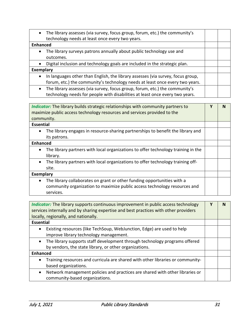| The library assesses (via survey, focus group, forum, etc.) the community's<br>$\bullet$     |  |  |
|----------------------------------------------------------------------------------------------|--|--|
| technology needs at least once every two years.                                              |  |  |
| Enhanced                                                                                     |  |  |
| The library surveys patrons annually about public technology use and<br>$\bullet$            |  |  |
| outcomes.                                                                                    |  |  |
| Digital inclusion and technology goals are included in the strategic plan.<br>$\bullet$      |  |  |
| <b>Exemplary</b>                                                                             |  |  |
| In languages other than English, the library assesses (via survey, focus group,<br>$\bullet$ |  |  |
| forum, etc.) the community's technology needs at least once every two years.                 |  |  |
| The library assesses (via survey, focus group, forum, etc.) the community's<br>$\bullet$     |  |  |
| technology needs for people with disabilities at least once every two years.                 |  |  |

| <i>Indicator:</i> The library builds strategic relationships with community partners to<br>maximize public access technology resources and services provided to the<br>community. |  | N |
|-----------------------------------------------------------------------------------------------------------------------------------------------------------------------------------|--|---|
| <b>Essential</b>                                                                                                                                                                  |  |   |
| The library engages in resource-sharing partnerships to benefit the library and<br>$\bullet$<br>its patrons.                                                                      |  |   |
| <b>Enhanced</b>                                                                                                                                                                   |  |   |
| The library partners with local organizations to offer technology training in the<br>$\bullet$<br>library.                                                                        |  |   |
| The library partners with local organizations to offer technology training off-<br>$\bullet$<br>site.                                                                             |  |   |
| <b>Exemplary</b>                                                                                                                                                                  |  |   |
| The library collaborates on grant or other funding opportunities with a<br>$\bullet$<br>community organization to maximize public access technology resources and<br>services.    |  |   |

| Indicator: The library supports continuous improvement in public access technology<br>services internally and by sharing expertise and best practices with other providers |  | N |
|----------------------------------------------------------------------------------------------------------------------------------------------------------------------------|--|---|
| locally, regionally, and nationally.                                                                                                                                       |  |   |
| <b>Essential</b>                                                                                                                                                           |  |   |
| Existing resources (like TechSoup, WebJunction, Edge) are used to help<br>$\bullet$<br>improve library technology management.                                              |  |   |
| The library supports staff development through technology programs offered<br>$\bullet$<br>by vendors, the state library, or other organizations.                          |  |   |
| <b>Enhanced</b>                                                                                                                                                            |  |   |
| Training resources and curricula are shared with other libraries or community-<br>based organizations.                                                                     |  |   |
| Network management policies and practices are shared with other libraries or<br>$\bullet$<br>community-based organizations.                                                |  |   |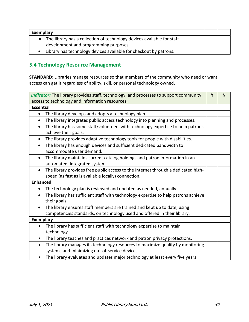| Exemplary                                                              |  |
|------------------------------------------------------------------------|--|
| The library has a collection of technology devices available for staff |  |
| development and programming purposes.                                  |  |
| • Library has technology devices available for checkout by patrons.    |  |

# <span id="page-31-0"></span>**5.4 Technology Resource Management**

**STANDARD:** Libraries manage resources so that members of the community who need or want access can get it regardless of ability, skill, or personal technology owned.

| Indicator: The library provides staff, technology, and processes to support community                                                                             |  | N |
|-------------------------------------------------------------------------------------------------------------------------------------------------------------------|--|---|
| access to technology and information resources.                                                                                                                   |  |   |
| <b>Essential</b>                                                                                                                                                  |  |   |
| The library develops and adopts a technology plan.<br>$\bullet$                                                                                                   |  |   |
| The library integrates public access technology into planning and processes.<br>$\bullet$                                                                         |  |   |
| The library has some staff/volunteers with technology expertise to help patrons<br>$\bullet$<br>achieve their goals.                                              |  |   |
| The library provides adaptive technology tools for people with disabilities.<br>$\bullet$                                                                         |  |   |
| The library has enough devices and sufficient dedicated bandwidth to<br>$\bullet$<br>accommodate user demand.                                                     |  |   |
| The library maintains current catalog holdings and patron information in an<br>$\bullet$<br>automated, integrated system.                                         |  |   |
| The library provides free public access to the Internet through a dedicated high-<br>$\bullet$<br>speed (as fast as is available locally) connection.             |  |   |
| <b>Enhanced</b>                                                                                                                                                   |  |   |
| The technology plan is reviewed and updated as needed, annually.                                                                                                  |  |   |
| The library has sufficient staff with technology expertise to help patrons achieve<br>$\bullet$<br>their goals.                                                   |  |   |
| The library ensures staff members are trained and kept up to date, using<br>$\bullet$<br>competencies standards, on technology used and offered in their library. |  |   |
| <b>Exemplary</b>                                                                                                                                                  |  |   |
| The library has sufficient staff with technology expertise to maintain<br>$\bullet$<br>technology.                                                                |  |   |
| The library teaches and practices network and patron privacy protections.                                                                                         |  |   |
| The library manages its technology resources to maximize quality by monitoring<br>$\bullet$                                                                       |  |   |
| systems and minimizing out-of-service devices.                                                                                                                    |  |   |
| The library evaluates and updates major technology at least every five years.<br>$\bullet$                                                                        |  |   |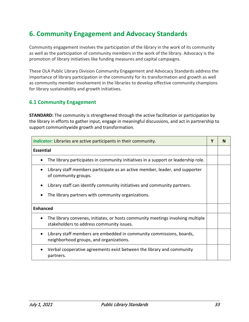# <span id="page-32-0"></span>**6. Community Engagement and Advocacy Standards**

Community engagement involves the participation of the library in the work of its community as well as the participation of community members in the work of the library. Advocacy is the promotion of library initiatives like funding measures and capital campaigns.

These OLA Public Library Division Community Engagement and Advocacy Standards address the importance of library participation in the community for its transformation and growth as well as community member involvement in the libraries to develop effective community champions for library sustainability and growth initiatives.

# <span id="page-32-1"></span>**6.1 Community Engagement**

**STANDARD:** The community is strengthened through the active facilitation or participation by the library in efforts to gather input, engage in meaningful discussions, and act in partnership to support communitywide growth and transformation.

| <b>Indicator:</b> Libraries are active participants in their community.                                                                   | Y | N |
|-------------------------------------------------------------------------------------------------------------------------------------------|---|---|
| <b>Essential</b>                                                                                                                          |   |   |
| The library participates in community initiatives in a support or leadership role.                                                        |   |   |
| Library staff members participate as an active member, leader, and supporter<br>of community groups.                                      |   |   |
| Library staff can identify community initiatives and community partners.                                                                  |   |   |
| The library partners with community organizations.                                                                                        |   |   |
| <b>Enhanced</b>                                                                                                                           |   |   |
| The library convenes, initiates, or hosts community meetings involving multiple<br>$\bullet$<br>stakeholders to address community issues. |   |   |
| Library staff members are embedded in community commissions, boards,<br>neighborhood groups, and organizations.                           |   |   |
| Verbal cooperative agreements exist between the library and community<br>partners.                                                        |   |   |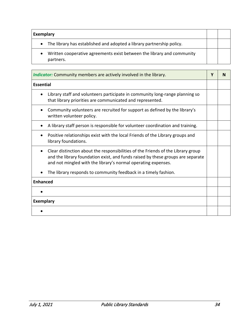| Exemplary                                                                                        |  |
|--------------------------------------------------------------------------------------------------|--|
| The library has established and adopted a library partnership policy.<br>$\bullet$               |  |
| Written cooperative agreements exist between the library and community<br>$\bullet$<br>partners. |  |

| <b>Indicator:</b> Community members are actively involved in the library.                                                                                                                                                            | Υ | N |
|--------------------------------------------------------------------------------------------------------------------------------------------------------------------------------------------------------------------------------------|---|---|
| <b>Essential</b>                                                                                                                                                                                                                     |   |   |
| Library staff and volunteers participate in community long-range planning so<br>that library priorities are communicated and represented.                                                                                            |   |   |
| Community volunteers are recruited for support as defined by the library's<br>written volunteer policy.                                                                                                                              |   |   |
| A library staff person is responsible for volunteer coordination and training.                                                                                                                                                       |   |   |
| Positive relationships exist with the local Friends of the Library groups and<br>library foundations.                                                                                                                                |   |   |
| Clear distinction about the responsibilities of the Friends of the Library group<br>and the library foundation exist, and funds raised by these groups are separate<br>and not mingled with the library's normal operating expenses. |   |   |
| The library responds to community feedback in a timely fashion.                                                                                                                                                                      |   |   |
| <b>Enhanced</b>                                                                                                                                                                                                                      |   |   |
|                                                                                                                                                                                                                                      |   |   |
| <b>Exemplary</b>                                                                                                                                                                                                                     |   |   |
|                                                                                                                                                                                                                                      |   |   |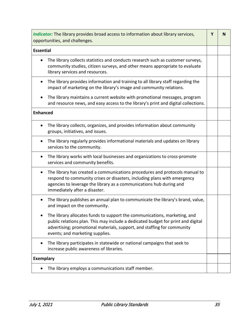| Indicator: The library provides broad access to information about library services,<br>opportunities, and challenges.                                                                                                                                                        | Y | N |
|------------------------------------------------------------------------------------------------------------------------------------------------------------------------------------------------------------------------------------------------------------------------------|---|---|
| <b>Essential</b>                                                                                                                                                                                                                                                             |   |   |
| The library collects statistics and conducts research such as customer surveys,<br>٠<br>community studies, citizen surveys, and other means appropriate to evaluate<br>library services and resources.                                                                       |   |   |
| The library provides information and training to all library staff regarding the<br>impact of marketing on the library's image and community relations.                                                                                                                      |   |   |
| The library maintains a current website with promotional messages, program<br>$\bullet$<br>and resource news, and easy access to the library's print and digital collections.                                                                                                |   |   |
| <b>Enhanced</b>                                                                                                                                                                                                                                                              |   |   |
| The library collects, organizes, and provides information about community<br>groups, initiatives, and issues.                                                                                                                                                                |   |   |
| The library regularly provides informational materials and updates on library<br>$\bullet$<br>services to the community.                                                                                                                                                     |   |   |
| The library works with local businesses and organizations to cross-promote<br>$\bullet$<br>services and community benefits.                                                                                                                                                  |   |   |
| The library has created a communications procedures and protocols manual to<br>$\bullet$<br>respond to community crises or disasters, including plans with emergency<br>agencies to leverage the library as a communications hub during and<br>immediately after a disaster. |   |   |
| The library publishes an annual plan to communicate the library's brand, value,<br>$\bullet$<br>and impact on the community.                                                                                                                                                 |   |   |
| The library allocates funds to support the communications, marketing, and<br>public relations plan. This may include a dedicated budget for print and digital<br>advertising; promotional materials, support, and staffing for community<br>events; and marketing supplies.  |   |   |
| The library participates in statewide or national campaigns that seek to<br>increase public awareness of libraries.                                                                                                                                                          |   |   |
| <b>Exemplary</b>                                                                                                                                                                                                                                                             |   |   |
| The library employs a communications staff member.                                                                                                                                                                                                                           |   |   |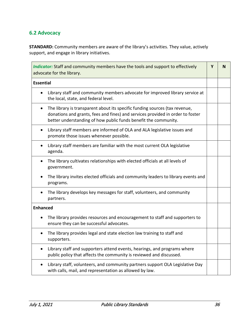# <span id="page-35-0"></span>**6.2 Advocacy**

**STANDARD:** Community members are aware of the library's activities. They value, actively support, and engage in library initiatives.

|                  | <b>Indicator:</b> Staff and community members have the tools and support to effectively<br>advocate for the library.                                                                                                             | Y | N |
|------------------|----------------------------------------------------------------------------------------------------------------------------------------------------------------------------------------------------------------------------------|---|---|
| <b>Essential</b> |                                                                                                                                                                                                                                  |   |   |
|                  | Library staff and community members advocate for improved library service at<br>the local, state, and federal level.                                                                                                             |   |   |
| $\bullet$        | The library is transparent about its specific funding sources (tax revenue,<br>donations and grants, fees and fines) and services provided in order to foster<br>better understanding of how public funds benefit the community. |   |   |
| $\bullet$        | Library staff members are informed of OLA and ALA legislative issues and<br>promote those issues whenever possible.                                                                                                              |   |   |
| $\bullet$        | Library staff members are familiar with the most current OLA legislative<br>agenda.                                                                                                                                              |   |   |
| $\bullet$        | The library cultivates relationships with elected officials at all levels of<br>government.                                                                                                                                      |   |   |
| $\bullet$        | The library invites elected officials and community leaders to library events and<br>programs.                                                                                                                                   |   |   |
| ٠                | The library develops key messages for staff, volunteers, and community<br>partners.                                                                                                                                              |   |   |
| <b>Enhanced</b>  |                                                                                                                                                                                                                                  |   |   |
|                  | The library provides resources and encouragement to staff and supporters to<br>ensure they can be successful advocates.                                                                                                          |   |   |
| $\bullet$        | The library provides legal and state election law training to staff and<br>supporters.                                                                                                                                           |   |   |
| ٠                | Library staff and supporters attend events, hearings, and programs where<br>public policy that affects the community is reviewed and discussed.                                                                                  |   |   |
| $\bullet$        | Library staff, volunteers, and community partners support OLA Legislative Day<br>with calls, mail, and representation as allowed by law.                                                                                         |   |   |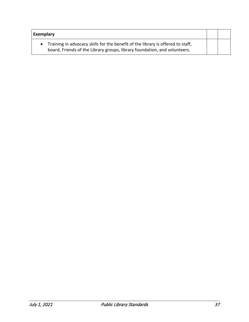| Exemplary                                                                                                                                                      |  |
|----------------------------------------------------------------------------------------------------------------------------------------------------------------|--|
| • Training in advocacy skills for the benefit of the library is offered to staff,<br>board, Friends of the Library groups, library foundation, and volunteers. |  |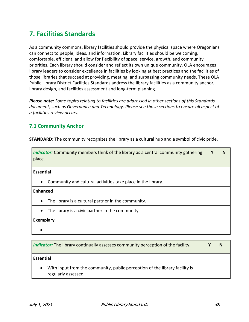# <span id="page-37-0"></span>**7. Facilities Standards**

As a community commons, library facilities should provide the physical space where Oregonians can connect to people, ideas, and information. Library facilities should be welcoming, comfortable, efficient, and allow for flexibility of space, service, growth, and community priorities. Each library should consider and reflect its own unique community. OLA encourages library leaders to consider excellence in facilities by looking at best practices and the facilities of those libraries that succeed at providing, meeting, and surpassing community needs. These OLA Public Library District Facilities Standards address the library facilities as a community anchor, library design, and facilities assessment and long-term planning.

*Please note: Some topics relating to facilities are addressed in other sections of this Standards document, such as Governance and Technology. Please see those sections to ensure all aspect of a facilities review occurs.* 

## <span id="page-37-1"></span>**7.1 Community Anchor**

**STANDARD:** The community recognizes the library as a cultural hub and a symbol of civic pride.

| <i>Indicator:</i> Community members think of the library as a central community gathering<br>place. | Υ | N |
|-----------------------------------------------------------------------------------------------------|---|---|
| <b>Essential</b>                                                                                    |   |   |
| Community and cultural activities take place in the library.<br>$\bullet$                           |   |   |
| <b>Enhanced</b>                                                                                     |   |   |
| The library is a cultural partner in the community.                                                 |   |   |
| The library is a civic partner in the community.<br>$\bullet$                                       |   |   |
| <b>Exemplary</b>                                                                                    |   |   |
|                                                                                                     |   |   |

| <i>Indicator:</i> The library continually assesses community perception of the facility.                        |  |
|-----------------------------------------------------------------------------------------------------------------|--|
| <b>Essential</b>                                                                                                |  |
| With input from the community, public perception of the library facility is<br>$\bullet$<br>regularly assessed. |  |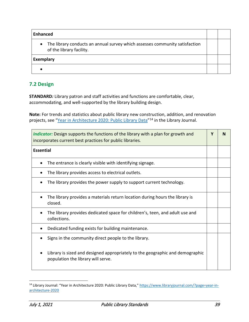| Enhanced                                                                                                             |  |
|----------------------------------------------------------------------------------------------------------------------|--|
| The library conducts an annual survey which assesses community satisfaction<br>$\bullet$<br>of the library facility. |  |
| Exemplary                                                                                                            |  |
|                                                                                                                      |  |

# <span id="page-38-0"></span>**7.2 Design**

**STANDARD***:* Library patron and staff activities and functions are comfortable, clear, accommodating, and well-supported by the library building design.

**Note:** For trends and statistics about public library new construction, addition, and renovation projects, see ["Year in Architecture 2020: Public Library Data"](http://lj.libraryjournal.com/2016/11/buildings/year-in-architecture-2016-public-library-data/)<sup>[14](#page-38-1)</sup> in the Library Journal.

| Indicator: Design supports the functions of the library with a plan for growth and<br>incorporates current best practices for public libraries. |  |  |
|-------------------------------------------------------------------------------------------------------------------------------------------------|--|--|
| <b>Essential</b>                                                                                                                                |  |  |
| The entrance is clearly visible with identifying signage.                                                                                       |  |  |
| The library provides access to electrical outlets.                                                                                              |  |  |
| The library provides the power supply to support current technology.                                                                            |  |  |
| The library provides a materials return location during hours the library is<br>closed.                                                         |  |  |
| The library provides dedicated space for children's, teen, and adult use and<br>collections.                                                    |  |  |
| Dedicated funding exists for building maintenance.                                                                                              |  |  |
| Signs in the community direct people to the library.                                                                                            |  |  |
| Library is sized and designed appropriately to the geographic and demographic<br>population the library will serve.                             |  |  |

<span id="page-38-1"></span><sup>&</sup>lt;sup>14</sup> Library Journal: "Year in Architecture 2020: Public Library Data,[" https://www.libraryjournal.com/?page=year-in](https://www.libraryjournal.com/?page=year-in-architecture-2020)[architecture-2020](https://www.libraryjournal.com/?page=year-in-architecture-2020)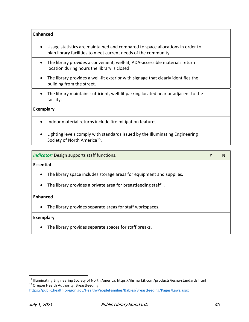| <b>Enhanced</b>  |                                                                                                                                                  |  |
|------------------|--------------------------------------------------------------------------------------------------------------------------------------------------|--|
|                  | Usage statistics are maintained and compared to space allocations in order to<br>plan library facilities to meet current needs of the community. |  |
|                  | The library provides a convenient, well-lit, ADA-accessible materials return<br>location during hours the library is closed                      |  |
|                  | The library provides a well-lit exterior with signage that clearly identifies the<br>building from the street.                                   |  |
|                  | The library maintains sufficient, well-lit parking located near or adjacent to the<br>facility.                                                  |  |
| <b>Exemplary</b> |                                                                                                                                                  |  |
|                  | Indoor material returns include fire mitigation features.                                                                                        |  |
|                  | Lighting levels comply with standards issued by the Illuminating Engineering<br>Society of North America <sup>15</sup> .                         |  |

| <b>Indicator:</b> Design supports staff functions.                                       |  |  |
|------------------------------------------------------------------------------------------|--|--|
| <b>Essential</b>                                                                         |  |  |
| The library space includes storage areas for equipment and supplies.<br>$\bullet$        |  |  |
| The library provides a private area for breastfeeding staff <sup>16</sup> .<br>$\bullet$ |  |  |
| <b>Enhanced</b>                                                                          |  |  |
| The library provides separate areas for staff workspaces.<br>$\bullet$                   |  |  |
| <b>Exemplary</b>                                                                         |  |  |
| The library provides separate spaces for staff breaks.<br>$\bullet$                      |  |  |

<span id="page-39-1"></span><span id="page-39-0"></span><sup>15</sup> Illuminating Engineering Society of North America, https://ihsmarkit.com/products/iesna-standards.html <sup>16</sup> Oregon Health Authority, Breastfeeding,

<https://public.health.oregon.gov/HealthyPeopleFamilies/Babies/Breastfeeding/Pages/Laws.aspx>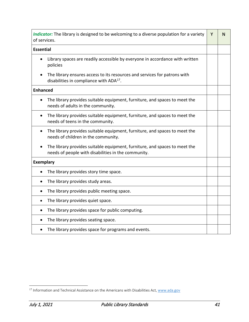| <b>Indicator:</b> The library is designed to be welcoming to a diverse population for a variety<br>of services. |                                                                                                                                   |  | N |
|-----------------------------------------------------------------------------------------------------------------|-----------------------------------------------------------------------------------------------------------------------------------|--|---|
| <b>Essential</b>                                                                                                |                                                                                                                                   |  |   |
|                                                                                                                 | Library spaces are readily accessible by everyone in accordance with written<br>policies                                          |  |   |
|                                                                                                                 | The library ensures access to its resources and services for patrons with<br>disabilities in compliance with ADA <sup>17</sup> .  |  |   |
| <b>Enhanced</b>                                                                                                 |                                                                                                                                   |  |   |
|                                                                                                                 | The library provides suitable equipment, furniture, and spaces to meet the<br>needs of adults in the community.                   |  |   |
| ٠                                                                                                               | The library provides suitable equipment, furniture, and spaces to meet the<br>needs of teens in the community.                    |  |   |
| $\bullet$                                                                                                       | The library provides suitable equipment, furniture, and spaces to meet the<br>needs of children in the community.                 |  |   |
| $\bullet$                                                                                                       | The library provides suitable equipment, furniture, and spaces to meet the<br>needs of people with disabilities in the community. |  |   |
| <b>Exemplary</b>                                                                                                |                                                                                                                                   |  |   |
|                                                                                                                 | The library provides story time space.                                                                                            |  |   |
|                                                                                                                 | The library provides study areas.                                                                                                 |  |   |
| $\bullet$                                                                                                       | The library provides public meeting space.                                                                                        |  |   |
|                                                                                                                 | The library provides quiet space.                                                                                                 |  |   |
| $\bullet$                                                                                                       | The library provides space for public computing.                                                                                  |  |   |
|                                                                                                                 | The library provides seating space.                                                                                               |  |   |
|                                                                                                                 | The library provides space for programs and events.                                                                               |  |   |

<span id="page-40-0"></span><sup>&</sup>lt;sup>17</sup> Information and Technical Assistance on the Americans with Disabilities Act[, www.ada.gov](http://www.ada.gov/)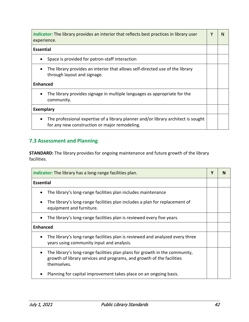| <i>Indicator:</i> The library provides an interior that reflects best practices in library user<br>experience.                      |  |  |
|-------------------------------------------------------------------------------------------------------------------------------------|--|--|
| <b>Essential</b>                                                                                                                    |  |  |
| Space is provided for patron-staff interaction                                                                                      |  |  |
| The library provides an interior that allows self-directed use of the library<br>through layout and signage.                        |  |  |
| <b>Enhanced</b>                                                                                                                     |  |  |
| The library provides signage in multiple languages as appropriate for the<br>community.                                             |  |  |
| <b>Exemplary</b>                                                                                                                    |  |  |
| The professional expertise of a library planner and/or library architect is sought<br>for any new construction or major remodeling. |  |  |

# <span id="page-41-0"></span>**7.3 Assessment and Planning**

**STANDARD:** The library provides for ongoing maintenance and future growth of the library facilities.

| <b>Indicator:</b> The library has a long-range facilities plan.                                                                                                     |  |  |
|---------------------------------------------------------------------------------------------------------------------------------------------------------------------|--|--|
| <b>Essential</b>                                                                                                                                                    |  |  |
| The library's long-range facilities plan includes maintenance                                                                                                       |  |  |
| The library's long-range facilities plan includes a plan for replacement of<br>equipment and furniture.                                                             |  |  |
| The library's long-range facilities plan is reviewed every five years.                                                                                              |  |  |
| <b>Enhanced</b>                                                                                                                                                     |  |  |
| The library's long-range facilities plan is reviewed and analyzed every three<br>years using community input and analysis.                                          |  |  |
| The library's long-range facilities plan plans for growth in the community,<br>growth of library services and programs, and growth of the facilities<br>themselves. |  |  |
| Planning for capital improvement takes place on an ongoing basis.                                                                                                   |  |  |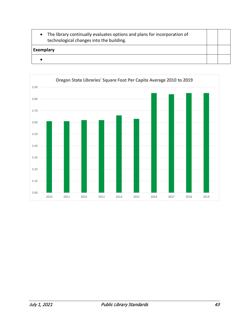• The library continually evaluates options and plans for incorporation of technological changes into the building. **Exemplary** •

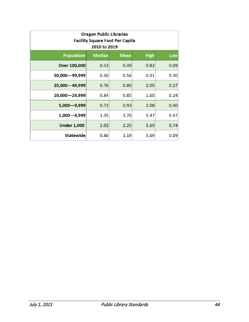| <b>Oregon Public Libraries</b><br><b>Facility Square Foot Per Capita</b><br>2010 to 2019 |               |             |             |      |  |
|------------------------------------------------------------------------------------------|---------------|-------------|-------------|------|--|
| <b>Population</b>                                                                        | <b>Median</b> | <b>Mean</b> | <b>High</b> | Low  |  |
| <b>Over 100,000</b>                                                                      | 0.53          | 0.49        | 0.82        | 0.09 |  |
| 50,000 - 99,999                                                                          | 0.50          | 0.56        | 0.91        | 0.30 |  |
| 25,000 - 49,999                                                                          | 0.76          | 0.80        | 2.05        | 0.27 |  |
| 10,000 - 24,999                                                                          | 0.84          | 0.85        | 1.60        | 0.24 |  |
| $5,000 - 9,999$                                                                          | 0.73          | 0.93        | 2.08        | 0.40 |  |
| $1,000 - 4,999$                                                                          | 1.35          | 1.70        | 5.47        | 0.47 |  |
| <b>Under 1,000</b>                                                                       | 2.03          | 2.25        | 5.69        | 0.74 |  |
| <b>Statewide</b>                                                                         | 0.86          | 1.19        | 5.69        | 0.09 |  |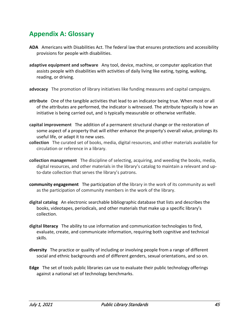# <span id="page-44-0"></span>**Appendix A: Glossary**

- **ADA** Americans with Disabilities Act. The federal law that ensures protections and accessibility provisions for people with disabilities.
- **adaptive equipment and software** Any tool, device, machine, or computer application that assists people with disabilities with activities of daily living like eating, typing, walking, reading, or driving.
- **advocacy** The promotion of library initiatives like funding measures and capital campaigns.
- **attribute** One of the tangible activities that lead to an indicator being true. When most or all of the attributes are performed, the indicator is witnessed. The attribute typically is how an initiative is being carried out, and is typically measurable or otherwise verifiable.
- **capital improvement** The addition of a permanent structural change or the restoration of some aspect of a property that will either enhance the property's overall value, prolongs its useful life, or adapt it to new uses.
- **collection** The curated set of books, media, digital resources, and other materials available for circulation or reference in a library.
- **collection management** The discipline of selecting, acquiring, and weeding the books, media, digital resources, and other materials in the library's catalog to maintain a relevant and upto-date collection that serves the library's patrons.
- **community engagement** The participation of the library in the work of its community as well as the participation of community members in the work of the library.
- **digital catalog** An electronic searchable bibliographic database that lists and describes the books, videotapes, periodicals, and other materials that make up a specific library's collection.
- **digital literacy** The ability to use information and communication technologies to find, evaluate, create, and communicate information, requiring both cognitive and technical skills.
- **diversity** The practice or quality of including or involving people from a range of different social and ethnic backgrounds and of different genders, sexual orientations, and so on.
- **Edge** The set of tools public libraries can use to evaluate their public technology offerings against a national set of technology benchmarks.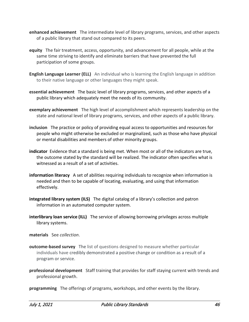- **enhanced achievement** The intermediate level of library programs, services, and other aspects of a public library that stand out compared to its peers.
- **equity** The fair treatment, access, opportunity, and advancement for all people, while at the same time striving to identify and eliminate barriers that have prevented the full participation of some groups.
- **English Language Learner (ELL)** An individual who is learning the English language in addition to their native language or other languages they might speak.
- **essential achievement** The basic level of library programs, services, and other aspects of a public library which adequately meet the needs of its community.
- **exemplary achievement** The high level of accomplishment which represents leadership on the state and national level of library programs, services, and other aspects of a public library.
- **inclusion** The practice or policy of providing equal access to opportunities and resources for people who might otherwise be excluded or marginalized, such as those who have physical or mental disabilities and members of other minority groups.
- **indicator** Evidence that a standard is being met. When most or all of the indicators are true, the outcome stated by the standard will be realized. The indicator often specifies what is witnessed as a result of a set of activities.
- **information literacy** A set of abilities requiring individuals to recognize when information is needed and then to be capable of locating, evaluating, and using that information effectively.
- **integrated library system (ILS)** The digital catalog of a library's collection and patron information in an automated computer system.
- **interlibrary loan service (ILL)** The service of allowing borrowing privileges across multiple library systems.
- **materials** See *collection*.
- **outcome-based survey** The list of questions designed to measure whether particular individuals have credibly demonstrated a positive change or condition as a result of a program or service.
- **professional development** Staff training that provides for staff staying current with trends and professional growth.

**programming** The offerings of programs, workshops, and other events by the library.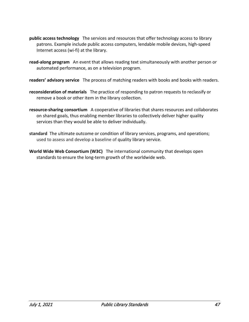- **public access technology** The services and resources that offer technology access to library patrons. Example include public access computers, lendable mobile devices, high-speed Internet access (wi-fi) at the library.
- **read-along program** An event that allows reading text simultaneously with another person or automated performance, as on a television program.
- **readers' advisory service** The process of matching readers with books and books with readers.
- **reconsideration of materials** The practice of responding to patron requests to reclassify or remove a book or other item in the library collection.
- **resource-sharing consortium** A cooperative of libraries that shares resources and collaborates on shared goals, thus enabling member libraries to collectively deliver higher quality services than they would be able to deliver individually.
- **standard** The ultimate outcome or condition of library services, programs, and operations; used to assess and develop a baseline of quality library service.
- **World Wide Web Consortium (W3C)** The international community that develops open standards to ensure the long-term growth of the worldwide web.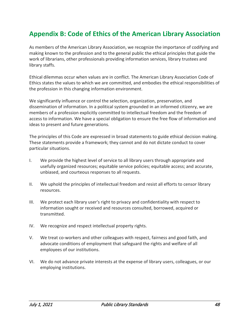# <span id="page-47-0"></span>**Appendix B: Code of Ethics of the American Library Association**

As members of the American Library Association, we recognize the importance of codifying and making known to the profession and to the general public the ethical principles that guide the work of librarians, other professionals providing information services, library trustees and library staffs.

Ethical dilemmas occur when values are in conflict. The American Library Association Code of Ethics states the values to which we are committed, and embodies the ethical responsibilities of the profession in this changing information environment.

We significantly influence or control the selection, organization, preservation, and dissemination of information. In a political system grounded in an informed citizenry, we are members of a profession explicitly committed to intellectual freedom and the freedom of access to information. We have a special obligation to ensure the free flow of information and ideas to present and future generations.

The principles of this Code are expressed in broad statements to guide ethical decision making. These statements provide a framework; they cannot and do not dictate conduct to cover particular situations.

- I. We provide the highest level of service to all library users through appropriate and usefully organized resources; equitable service policies; equitable access; and accurate, unbiased, and courteous responses to all requests.
- II. We uphold the principles of intellectual freedom and resist all efforts to censor library resources.
- III. We protect each library user's right to privacy and confidentiality with respect to information sought or received and resources consulted, borrowed, acquired or transmitted.
- IV. We recognize and respect intellectual property rights.
- V. We treat co-workers and other colleagues with respect, fairness and good faith, and advocate conditions of employment that safeguard the rights and welfare of all employees of our institutions.
- VI. We do not advance private interests at the expense of library users, colleagues, or our employing institutions.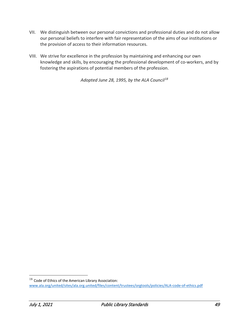- VII. We distinguish between our personal convictions and professional duties and do not allow our personal beliefs to interfere with fair representation of the aims of our institutions or the provision of access to their information resources.
- VIII. We strive for excellence in the profession by maintaining and enhancing our own knowledge and skills, by encouraging the professional development of co-workers, and by fostering the aspirations of potential members of the profession.

*Adopted June 28, 1995, by the ALA Council[18](#page-48-0)*

<span id="page-48-0"></span><sup>18</sup> Code of Ethics of the American Library Association: [www.ala.org/united/sites/ala.org.united/files/content/trustees/orgtools/policies/ALA-code-of-ethics.pdf](http://www.ala.org/united/sites/ala.org.united/files/content/trustees/orgtools/policies/ALA-code-of-ethics.pdf)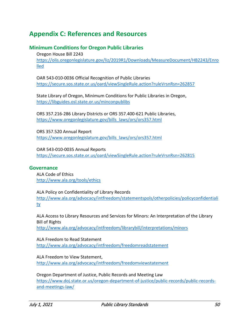# <span id="page-49-0"></span>**Appendix C: References and Resources**

## **Minimum Conditions for Oregon Public Libraries**

Oregon House Bill 2243 [https://olis.oregonlegislature.gov/liz/2019R1/Downloads/MeasureDocument/HB2243/Enro](https://olis.oregonlegislature.gov/liz/2019R1/Downloads/MeasureDocument/HB2243/Enrolled) [lled](https://olis.oregonlegislature.gov/liz/2019R1/Downloads/MeasureDocument/HB2243/Enrolled)

OAR 543-010-0036 Official Recognition of Public Libraries <https://secure.sos.state.or.us/oard/viewSingleRule.action?ruleVrsnRsn=262857>

State Library of Oregon, Minimum Conditions for Public Libraries in Oregon, <https://libguides.osl.state.or.us/minconpublibs>

ORS 357.216-286 Library Districts or ORS 357.400-621 Public Libraries, [https://www.oregonlegislature.gov/bills\\_laws/ors/ors357.html](https://www.oregonlegislature.gov/bills_laws/ors/ors357.html)

ORS 357.520 Annual Report [https://www.oregonlegislature.gov/bills\\_laws/ors/ors357.html](https://www.oregonlegislature.gov/bills_laws/ors/ors357.html)

OAR 543-010-0035 Annual Reports <https://secure.sos.state.or.us/oard/viewSingleRule.action?ruleVrsnRsn=262815>

### **Governance**

ALA Code of Ethics <http://www.ala.org/tools/ethics>

ALA Policy on Confidentiality of Library Records [http://www.ala.org/advocacy/intfreedom/statementspols/otherpolicies/policyconfidentiali](http://www.ala.org/advocacy/intfreedom/statementspols/otherpolicies/policyconfidentiality) [ty](http://www.ala.org/advocacy/intfreedom/statementspols/otherpolicies/policyconfidentiality)

ALA Access to Library Resources and Services for Minors: An Interpretation of the Library Bill of Rights <http://www.ala.org/advocacy/intfreedom/librarybill/interpretations/minors>

ALA Freedom to Read Statement <http://www.ala.org/advocacy/intfreedom/freedomreadstatement>

ALA Freedom to View Statement, <http://www.ala.org/advocacy/intfreedom/freedomviewstatement>

Oregon Department of Justice, Public Records and Meeting Law [https://www.doj.state.or.us/oregon-department-of-justice/public-records/public-records](https://www.doj.state.or.us/oregon-department-of-justice/public-records/public-records-and-meetings-law/)[and-meetings-law/](https://www.doj.state.or.us/oregon-department-of-justice/public-records/public-records-and-meetings-law/)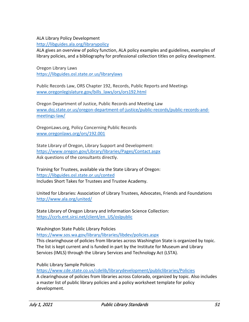ALA Library Policy Development

<http://libguides.ala.org/librarypolicy>

ALA gives an overview of policy function, ALA policy examples and guidelines, examples of library policies, and a bibliography for professional collection titles on policy development.

Oregon Library Laws <https://libguides.osl.state.or.us/librarylaws>

Public Records Law, ORS Chapter 192, Records, Public Reports and Meetings [www.oregonlegislature.gov/bills\\_laws/ors/ors192.html](https://www.oregonlegislature.gov/bills_laws/ors/ors192.html)

Oregon Department of Justice, Public Records and Meeting Law [www.doj.state.or.us/oregon-department-of-justice/public-records/public-records-and](https://www.doj.state.or.us/oregon-department-of-justice/public-records/public-records-and-meetings-law/)[meetings-law/](https://www.doj.state.or.us/oregon-department-of-justice/public-records/public-records-and-meetings-law/)

OregonLaws.org, Policy Concerning Public Records [www.oregonlaws.org/ors/192.001](https://www.oregonlaws.org/ors/192.001)

State Library of Oregon, Library Support and Development: <https://www.oregon.gov/Library/libraries/Pages/Contact.aspx> Ask questions of the consultants directly.

Training for Trustees, available via the State Library of Oregon: <https://libguides.osl.state.or.us/conted> Includes Short Takes for Trustees and Trustee Academy.

United for Libraries: Association of Library Trustees, Advocates, Friends and Foundations <http://www.ala.org/united/>

State Library of Oregon Library and Information Science Collection: [https://ccrls.ent.sirsi.net/client/en\\_US/oslpublic](https://ccrls.ent.sirsi.net/client/en_US/oslpublic)

### Washington State Public Library Policies

<https://www.sos.wa.gov/library/libraries/libdev/policies.aspx>

This clearinghouse of policies from libraries across Washington State is organized by topic. The list is kept current and is funded in part by the Institute for Museum and Library Services (IMLS) through the Library Services and Technology Act (LSTA).

### Public Library Sample Policies

<https://www.cde.state.co.us/cdelib/librarydevelopment/publiclibraries/Policies>

A clearinghouse of policies from libraries across Colorado, organized by topic. Also includes a master list of public library policies and a policy worksheet template for policy development.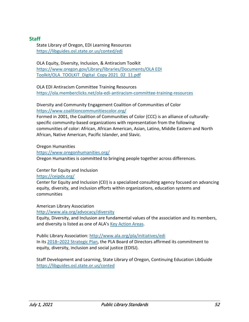# **Staff**

State Library of Oregon, EDI Learning Resources <https://libguides.osl.state.or.us/conted/edi>

OLA Equity, Diversity, Inclusion, & Antiracism Toolkit [https://www.oregon.gov/Library/libraries/Documents/OLA EDI](https://www.oregon.gov/Library/libraries/Documents/OLA%20EDI%20Toolkit/OLA_TOOLKIT_Digital_Copy%202021_02_11.pdf)  [Toolkit/OLA\\_TOOLKIT\\_Digital\\_Copy 2021\\_02\\_11.pdf](https://www.oregon.gov/Library/libraries/Documents/OLA%20EDI%20Toolkit/OLA_TOOLKIT_Digital_Copy%202021_02_11.pdf)

OLA EDI Antiracism Committee Training Resources <https://ola.memberclicks.net/ola-edi-antiracism-committee-training-resources>

Diversity and Community Engagement Coalition of Communities of Color <https://www.coalitioncommunitiescolor.org/>

Formed in 2001, the Coalition of Communities of Color (CCC) is an alliance of culturallyspecific community-based organizations with representation from the following communities of color: African, African American, Asian, Latino, Middle Eastern and North African, Native American, Pacific Islander, and Slavic.

Oregon Humanities

<https://www.oregonhumanities.org/>

Oregon Humanities is committed to bringing people together across differences.

Center for Equity and Inclusion

<https://ceipdx.org/>

Center for Equity and Inclusion (CEI) is a specialized consulting agency focused on advancing equity, diversity, and inclusion efforts within organizations, education systems and communities

American Library Association

<http://www.ala.org/advocacy/diversity>

Equity, Diversity, and Inclusion are fundamental values of the association and its members, and diversity is listed as one of ALA's [Key Action Areas.](http://www.ala.org/aboutala/missionpriorities/keyactionareas)

Public Library Association:<http://www.ala.org/pla/initiatives/edi> In its [2018–2022 Strategic Plan,](http://www.ala.org/pla/about/mission/strategicplan) the PLA Board of Directors affirmed its commitment to equity, diversity, inclusion and social justice (EDISJ).

Staff Development and Learning, State Library of Oregon, Continuing Education LibGuide <https://libguides.osl.state.or.us/conted>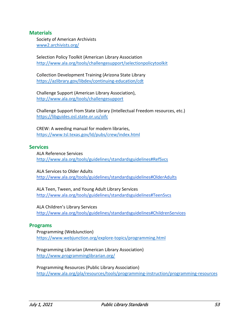### **Materials**

Society of American Archivists [www2.archivists.org/](https://www2.archivists.org/)

Selection Policy Toolkit (American Library Association <http://www.ala.org/tools/challengesupport/selectionpolicytoolkit>

Collection Development Training (Arizona State Library <https://azlibrary.gov/libdev/continuing-education/cdt>

Challenge Support (American Library Association), <http://www.ala.org/tools/challengesupport>

Challenge Support from State Library (Intellectual Freedom resources, etc.) <https://libguides.osl.state.or.us/oifc>

CREW: A weeding manual for modern libraries, <https://www.tsl.texas.gov/ld/pubs/crew/index.html>

### **Services**

ALA Reference Services <http://www.ala.org/tools/guidelines/standardsguidelines#RefSvcs>

ALA Services to Older Adults <http://www.ala.org/tools/guidelines/standardsguidelines#OlderAdults>

ALA Teen, Tween, and Young Adult Library Services <http://www.ala.org/tools/guidelines/standardsguidelines#TeenSvcs>

ALA Children's Library Services <http://www.ala.org/tools/guidelines/standardsguidelines#ChildrenServices>

### **Programs**

Programming (WebJunction) <https://www.webjunction.org/explore-topics/programming.html>

Programming Librarian (American Library Association) <http://www.programminglibrarian.org/>

Programming Resources (Public Library Association) <http://www.ala.org/pla/resources/tools/programming-instruction/programming-resources>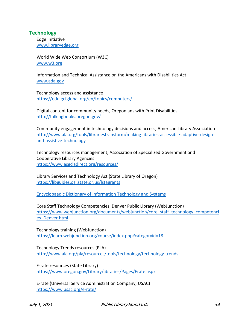### **Technology**

Edge Initiative [www.libraryedge.org](http://www.libraryedge.org/)

World Wide Web Consortium (W3C) [www.w3.org](http://www.w3.org/)

Information and Technical Assistance on the Americans with Disabilities Act [www.ada.gov](http://www.ada.gov/)

Technology access and assistance <https://edu.gcfglobal.org/en/topics/computers/>

Digital content for community needs, Oregonians with Print Disabilities <http://talkingbooks.oregon.gov/>

Community engagement in technology decisions and access, American Library Association [http://www.ala.org/tools/librariestransform/making-libraries-accessible-adaptive-design](http://www.ala.org/tools/librariestransform/making-libraries-accessible-adaptive-design-and-assistive-technology)[and-assistive-technology](http://www.ala.org/tools/librariestransform/making-libraries-accessible-adaptive-design-and-assistive-technology)

Technology resources management, Association of Specialized Government and Cooperative Library Agencies <https://www.asgcladirect.org/resources/>

Library Services and Technology Act (State Library of Oregon) <https://libguides.osl.state.or.us/lstagrants>

[Encyclopaedic Dictionary of Information Technology and Systems](https://sjsu-primo.hosted.exlibrisgroup.com/primo-explore/fulldisplay?docid=01CALS_ALMA51438726470002901&context=L&vid=01CALS_SJO&search_scope=EVERYTHING&isFrbr=true&tab=everything&lang=en_US)

Core Staff Technology Competencies, Denver Public Library (WebJunction) [https://www.webjunction.org/documents/webjunction/core\\_staff\\_technology\\_competenci](https://www.webjunction.org/documents/webjunction/core_staff_technology_competencies_Denver.html) [es\\_Denver.html](https://www.webjunction.org/documents/webjunction/core_staff_technology_competencies_Denver.html)

Technology training (WebJunction) <https://learn.webjunction.org/course/index.php?categoryid=18>

Technology Trends resources (PLA) <http://www.ala.org/pla/resources/tools/technology/technology-trends>

E-rate resources (State Library) <https://www.oregon.gov/Library/libraries/Pages/Erate.aspx>

E-rate (Universal Service Administration Company, USAC) <https://www.usac.org/e-rate/>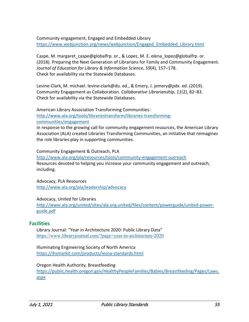Community engagement, Engaged and Embedded Library [https://www.webjunction.org/news/webjunction/Engaged\\_Embedded\\_Library.html](https://www.webjunction.org/news/webjunction/Engaged_Embedded_Library.html)

Caspe, M. margaret caspe@globalfrp. or., & Lopez, M. E. elena lopez@globalfrp. or. (2018). Preparing the Next Generation of Librarians for Family and Community Engagement. *Journal of Education for Library & Information Science*, *59*(4), 157–178. Check for availability via the Statewide Databases.

Levine-Clark, M. michael. levine-clark@du. ed., & Emery, J. jemery@pdx. ed. (2019). Community Engagement as Collaboration. *Collaborative Librarianship*, *11*(2), 82–83. Check for availability via the Statewide Databases.

American Library Association Transforming Communities: [http://www.ala.org/tools/librariestransform/libraries-transforming](http://www.ala.org/tools/librariestransform/libraries-transforming-communities/engagement)[communities/engagement](http://www.ala.org/tools/librariestransform/libraries-transforming-communities/engagement)

In response to the growing call for community engagement resources, the American Library Association (ALA) created Libraries Transforming Communities, an initiative that reimagines the role libraries play in supporting communities.

Community Engagement & Outreach, PLA <http://www.ala.org/pla/resources/tools/community-engagement-outreach> Resources devoted to helping you increase your community engagement and outreach, including.

Advocacy, PLA Resources <http://www.ala.org/pla/leadership/advocacy>

Advocacy, United for Libraries

[http://www.ala.org/united/sites/ala.org.united/files/content/powerguide/united-power](http://www.ala.org/united/sites/ala.org.united/files/content/powerguide/united-power-guide.pdf)[guide.pdf](http://www.ala.org/united/sites/ala.org.united/files/content/powerguide/united-power-guide.pdf)

## **Facilities**

Library Journal: "Year in Architecture 2020: Public Library Data" <https://www.libraryjournal.com/?page=year-in-architecture-2020>

Illuminating Engineering Society of North America <https://ihsmarkit.com/products/iesna-standards.html>

Oregon Health Authority, Breastfeeding [https://public.health.oregon.gov/HealthyPeopleFamilies/Babies/Breastfeeding/Pages/Laws.](https://public.health.oregon.gov/HealthyPeopleFamilies/Babies/Breastfeeding/Pages/Laws.aspx) [aspx](https://public.health.oregon.gov/HealthyPeopleFamilies/Babies/Breastfeeding/Pages/Laws.aspx)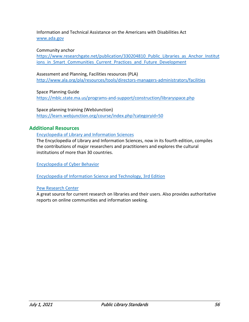Information and Technical Assistance on the Americans with Disabilities Act [www.ada.gov](http://www.ada.gov/)

Community anchor

[https://www.researchgate.net/publication/330204810\\_Public\\_Libraries\\_as\\_Anchor\\_Institut](https://www.researchgate.net/publication/330204810_Public_Libraries_as_Anchor_Institutions_in_Smart_Communities_Current_Practices_and_Future_Development) ions in Smart Communities Current Practices and Future Development

Assessment and Planning, Facilities resources (PLA) <http://www.ala.org/pla/resources/tools/directors-managers-administrators/facilities>

Space Planning Guide <https://mblc.state.ma.us/programs-and-support/construction/libraryspace.php>

Space planning training (WebJunction) <https://learn.webjunction.org/course/index.php?categoryid=50>

# **Additional Resources**

[Encyclopedia of Library and Information Sciences](http://libaccess.sjlibrary.org/login?url=https://www.taylorfrancis.com/books/e/9781466552609)

The Encyclopedia of Library and Information Sciences, now in its fourth edition, compiles the contributions of major researchers and practitioners and explores the cultural institutions of more than 30 countries.

[Encyclopedia of Cyber Behavior](https://sjsu-primo.hosted.exlibrisgroup.com/primo-explore/fulldisplay?docid=01CALS_ALMA71454017010002901&context=L&vid=01CALS_SJO&search_scope=EVERYTHING&isFrbr=true&tab=everything&lang=en_US)

[Encyclopedia of Information Science and Technology, 3rd Edition](https://sjsu-primo.hosted.exlibrisgroup.com/primo-explore/fulldisplay?docid=01CALS_ALMA71454091980002901&context=L&vid=01CALS_SJO&search_scope=EVERYTHING&tab=everything&lang=en_US)

### [Pew Research Center](http://www.pewinternet.org/topics/)

A great source for current research on libraries and their users. Also provides authoritative reports on online communities and information seeking.